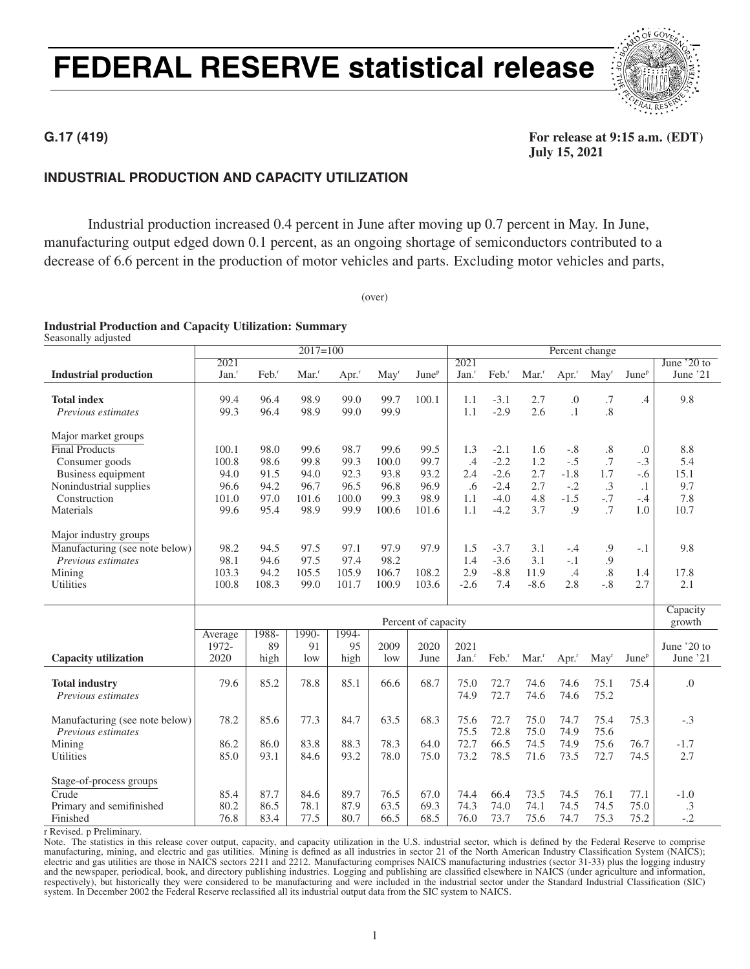## FEDERAL RESERVE statistical release



### **INDUSTRIAL PRODUCTION AND CAPACITY UTILIZATION**

Industrial production increased 0.4 percent in June after moving up 0.7 percent in May. In June, manufacturing output edged down 0.1 percent, as an ongoing shortage of semiconductors contributed to a decrease of 6.6 percent in the production of motor vehicles and parts. Excluding motor vehicles and parts,

(over)

### Industrial Production and Capacity Utilization: Summary

Seasonally adjusted

|                                |                     |                 | $2017=100$          |                     |                  |                     |                     |                   |        | Percent change      |                   |                          |                  |
|--------------------------------|---------------------|-----------------|---------------------|---------------------|------------------|---------------------|---------------------|-------------------|--------|---------------------|-------------------|--------------------------|------------------|
|                                | 2021                |                 |                     |                     |                  |                     | 2021                |                   |        |                     |                   |                          | June $20$ to     |
| <b>Industrial production</b>   | $Jan.$ <sup>r</sup> | $\text{Feb.}^r$ | $Mar.$ <sup>r</sup> | $Apr.$ <sup>r</sup> | May <sup>r</sup> | June <sup>p</sup>   | $Jan.$ <sup>r</sup> | Feb. <sup>r</sup> | Mar.   | $Apr.$ <sup>r</sup> | $\text{May}^r$    | June <sup>p</sup>        | June '21         |
|                                |                     |                 |                     |                     |                  |                     |                     |                   |        |                     |                   |                          |                  |
| <b>Total index</b>             | 99.4                | 96.4            | 98.9                | 99.0                | 99.7             | 100.1               | 1.1                 | $-3.1$            | 2.7    | $\boldsymbol{0}$    | .7                | .4                       | 9.8              |
| Previous estimates             | 99.3                | 96.4            | 98.9                | 99.0                | 99.9             |                     | 1.1                 | $-2.9$            | 2.6    | $\cdot$ 1           | $\overline{8}$    |                          |                  |
|                                |                     |                 |                     |                     |                  |                     |                     |                   |        |                     |                   |                          |                  |
| Major market groups            |                     |                 |                     |                     |                  |                     |                     |                   |        |                     |                   |                          |                  |
| <b>Final Products</b>          | 100.1               | 98.0            | 99.6                | 98.7                | 99.6             | 99.5                | 1.3                 | $-2.1$            | 1.6    | $-.8$               | $\boldsymbol{.8}$ | .0                       | 8.8              |
| Consumer goods                 | 100.8               | 98.6            | 99.8                | 99.3                | 100.0            | 99.7                | .4                  | $-2.2$            | 1.2    | $-.5$               | $\cdot$ 7         | $-.3$                    | 5.4              |
| Business equipment             | 94.0                | 91.5            | 94.0                | 92.3                | 93.8             | 93.2                | 2.4                 | $-2.6$            | 2.7    | $-1.8$              | 1.7               | $-.6$                    | 15.1             |
| Nonindustrial supplies         | 96.6                | 94.2            | 96.7                | 96.5                | 96.8             | 96.9                | .6                  | $-2.4$            | 2.7    | $-.2$               | $\cdot$ 3         | $\cdot$ 1                | 9.7              |
| Construction                   | 101.0               | 97.0            | 101.6               | 100.0               | 99.3             | 98.9                | 1.1                 | $-4.0$            | 4.8    | $-1.5$              | $-.7$             | $-.4$                    | 7.8              |
| Materials                      | 99.6                | 95.4            | 98.9                | 99.9                | 100.6            | 101.6               | 1.1                 | $-4.2$            | 3.7    | .9                  | .7                | 1.0                      | 10.7             |
|                                |                     |                 |                     |                     |                  |                     |                     |                   |        |                     |                   |                          |                  |
| Major industry groups          |                     |                 |                     |                     |                  |                     |                     |                   |        |                     |                   |                          |                  |
| Manufacturing (see note below) | 98.2                | 94.5            | 97.5                | 97.1                | 97.9             | 97.9                | 1.5                 | $-3.7$            | 3.1    | $-.4$               | 9.                | $-.1$                    | 9.8              |
| Previous estimates             | 98.1                | 94.6            | 97.5                | 97.4                | 98.2             |                     | 1.4                 | $-3.6$            | 3.1    | $-.1$               | .9                |                          |                  |
| Mining                         | 103.3               | 94.2            | 105.5               | 105.9               | 106.7            | 108.2               | 2.9                 | $-8.8$            | 11.9   | .4                  | .8                | 1.4                      | 17.8             |
| Utilities                      | 100.8               | 108.3           | 99.0                | 101.7               | 100.9            | 103.6               | $-2.6$              | 7.4               | $-8.6$ | 2.8                 | $-.8$             | 2.7                      | 2.1              |
|                                |                     |                 |                     |                     |                  |                     |                     |                   |        |                     |                   |                          |                  |
|                                |                     |                 |                     |                     |                  |                     |                     |                   |        |                     |                   |                          | Capacity         |
|                                |                     |                 |                     |                     |                  | Percent of capacity |                     |                   |        |                     |                   |                          | growth           |
|                                | Average             | 1988-           | 1990-               | 1994-               |                  |                     |                     |                   |        |                     |                   |                          |                  |
|                                | 1972-               | 89              | 91                  | 95                  | 2009             | 2020                | 2021                |                   |        |                     |                   |                          | June '20 to      |
| Capacity utilization           | 2020                | high            | low                 | high                | low              | June                | $Jan.$ <sup>r</sup> | Feb. <sup>r</sup> | Mar.   | $Apr.$ <sup>r</sup> | May <sup>r</sup>  | <b>June</b> <sup>p</sup> | June '21         |
|                                |                     |                 |                     |                     |                  |                     |                     |                   |        |                     |                   |                          |                  |
| <b>Total industry</b>          | 79.6                | 85.2            | 78.8                | 85.1                | 66.6             | 68.7                | 75.0                | 72.7              | 74.6   | 74.6                | 75.1              | 75.4                     | $\overline{0}$ . |
| Previous estimates             |                     |                 |                     |                     |                  |                     | 74.9                | 72.7              | 74.6   | 74.6                | 75.2              |                          |                  |
|                                |                     |                 |                     |                     |                  |                     |                     |                   |        |                     |                   |                          |                  |
| Manufacturing (see note below) | 78.2                | 85.6            | 77.3                | 84.7                | 63.5             | 68.3                | 75.6                | 72.7              | 75.0   | 74.7                | 75.4              | 75.3                     | $-.3$            |
| Previous estimates             |                     |                 |                     |                     |                  |                     | 75.5                | 72.8              | 75.0   | 74.9                | 75.6              |                          |                  |
| Mining                         | 86.2                | 86.0            | 83.8                | 88.3                | 78.3             | 64.0                | 72.7                | 66.5              | 74.5   | 74.9                | 75.6              | 76.7                     | $-1.7$           |
| <b>Utilities</b>               | 85.0                | 93.1            | 84.6                | 93.2                | 78.0             | 75.0                | 73.2                | 78.5              | 71.6   | 73.5                | 72.7              | 74.5                     | 2.7              |
|                                |                     |                 |                     |                     |                  |                     |                     |                   |        |                     |                   |                          |                  |
| Stage-of-process groups        |                     |                 |                     |                     |                  |                     |                     |                   |        |                     |                   |                          |                  |
| Crude                          | 85.4                | 87.7            | 84.6                | 89.7                | 76.5             | 67.0                | 74.4                | 66.4              | 73.5   | 74.5                | 76.1              | 77.1                     | $-1.0$           |
| Primary and semifinished       | 80.2                | 86.5            | 78.1                | 87.9                | 63.5             | 69.3                | 74.3                | 74.0              | 74.1   | 74.5                | 74.5              | 75.0                     | .3               |
| Finished                       | 76.8                | 83.4            | 77.5                | 80.7                | 66.5             | 68.5                | 76.0                | 73.7              | 75.6   | 74.7                | 75.3              | 75.2                     | $-.2$            |

r Revised. p Preliminary.

Note. The statistics in this release cover output, capacity, and capacity utilization in the U.S. industrial sector, which is defined by the Federal Reserve to comprise manufacturing, mining, and electric and gas utilities. Mining is defined as all industries in sector 21 of the North American Industry Classification System (NAICS); electric and gas utilities are those in NAICS sectors 2211 and 2212. Manufacturing comprises NAICS manufacturing industries (sector 31-33) plus the logging industry and the newspaper, periodical, book, and directory publishing industries. Logging and publishing are classified elsewhere in NAICS (under agriculture and information, respectively), but historically they were considered to be manufacturing and were included in the industrial sector under the Standard Industrial Classification (SIC) system. In December 2002 the Federal Reserve reclassified all its industrial output data from the SIC system to NAICS.

### **G.17 (419)** For release at 9:15 a.m. (EDT) July 15, 2021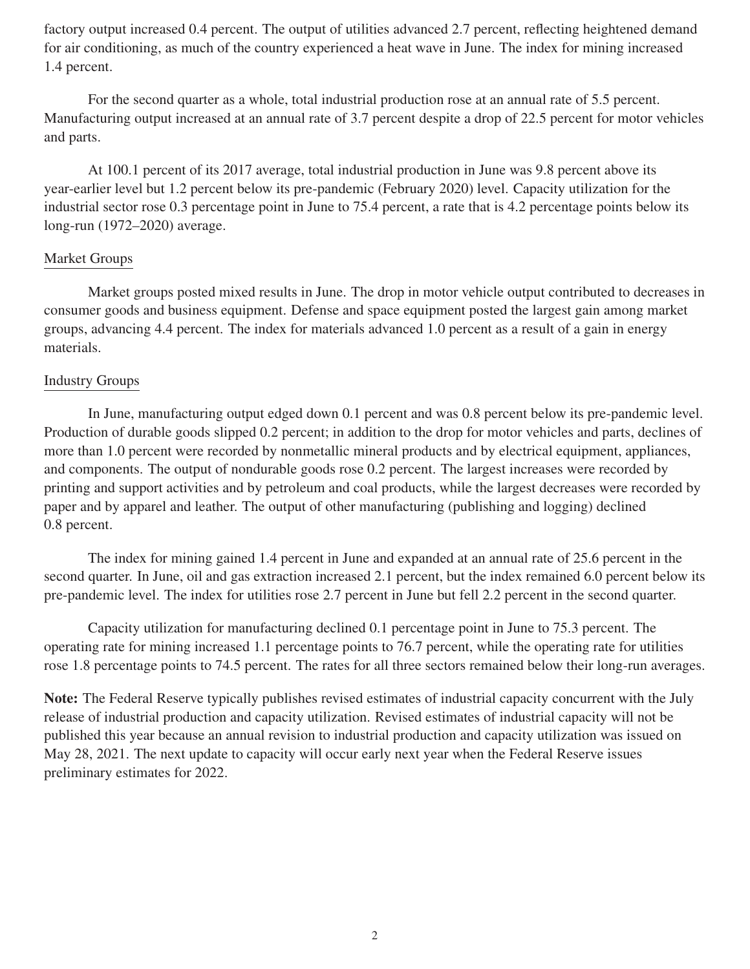factory output increased 0.4 percent. The output of utilities advanced 2.7 percent, reflecting heightened demand for air conditioning, as much of the country experienced a heat wave in June. The index for mining increased 1.4 percent.

For the second quarter as a whole, total industrial production rose at an annual rate of 5.5 percent. Manufacturing output increased at an annual rate of 3.7 percent despite a drop of 22.5 percent for motor vehicles and parts.

At 100.1 percent of its 2017 average, total industrial production in June was 9.8 percent above its year-earlier level but 1.2 percent below its pre-pandemic (February 2020) level. Capacity utilization for the industrial sector rose 0.3 percentage point in June to 75.4 percent, a rate that is 4.2 percentage points below its long-run (1972–2020) average.

### Market Groups

Market groups posted mixed results in June. The drop in motor vehicle output contributed to decreases in consumer goods and business equipment. Defense and space equipment posted the largest gain among market groups, advancing 4.4 percent. The index for materials advanced 1.0 percent as a result of a gain in energy materials.

### Industry Groups

In June, manufacturing output edged down 0.1 percent and was 0.8 percent below its pre-pandemic level. Production of durable goods slipped 0.2 percent; in addition to the drop for motor vehicles and parts, declines of more than 1.0 percent were recorded by nonmetallic mineral products and by electrical equipment, appliances, and components. The output of nondurable goods rose 0.2 percent. The largest increases were recorded by printing and support activities and by petroleum and coal products, while the largest decreases were recorded by paper and by apparel and leather. The output of other manufacturing (publishing and logging) declined 0.8 percent.

The index for mining gained 1.4 percent in June and expanded at an annual rate of 25.6 percent in the second quarter. In June, oil and gas extraction increased 2.1 percent, but the index remained 6.0 percent below its pre-pandemic level. The index for utilities rose 2.7 percent in June but fell 2.2 percent in the second quarter.

Capacity utilization for manufacturing declined 0.1 percentage point in June to 75.3 percent. The operating rate for mining increased 1.1 percentage points to 76.7 percent, while the operating rate for utilities rose 1.8 percentage points to 74.5 percent. The rates for all three sectors remained below their long-run averages.

Note: The Federal Reserve typically publishes revised estimates of industrial capacity concurrent with the July release of industrial production and capacity utilization. Revised estimates of industrial capacity will not be published this year because an annual revision to industrial production and capacity utilization was issued on May 28, 2021. The next update to capacity will occur early next year when the Federal Reserve issues preliminary estimates for 2022.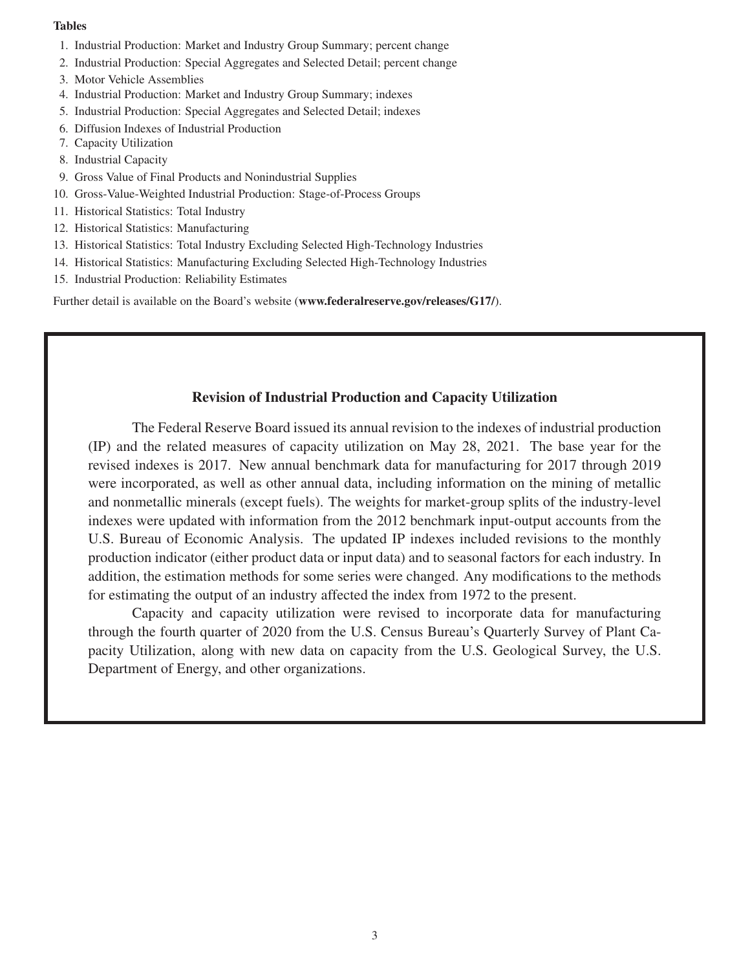### Tables

- 1. Industrial Production: Market and Industry Group Summary; percent change
- 2. Industrial Production: Special Aggregates and Selected Detail; percent change
- 3. Motor Vehicle Assemblies
- 4. Industrial Production: Market and Industry Group Summary; indexes
- 5. Industrial Production: Special Aggregates and Selected Detail; indexes
- 6. Diffusion Indexes of Industrial Production
- 7. Capacity Utilization
- 8. Industrial Capacity
- 9. Gross Value of Final Products and Nonindustrial Supplies
- 10. Gross-Value-Weighted Industrial Production: Stage-of-Process Groups
- 11. Historical Statistics: Total Industry
- 12. Historical Statistics: Manufacturing
- 13. Historical Statistics: Total Industry Excluding Selected High-Technology Industries
- 14. Historical Statistics: Manufacturing Excluding Selected High-Technology Industries
- 15. Industrial Production: Reliability Estimates

Further detail is available on the Board's website (www.federalreserve.gov/releases/G17/).

### Revision of Industrial Production and Capacity Utilization

The Federal Reserve Board issued its annual revision to the indexes of industrial production (IP) and the related measures of capacity utilization on May 28, 2021. The base year for the revised indexes is 2017. New annual benchmark data for manufacturing for 2017 through 2019 were incorporated, as well as other annual data, including information on the mining of metallic and nonmetallic minerals (except fuels). The weights for market-group splits of the industry-level indexes were updated with information from the 2012 benchmark input-output accounts from the U.S. Bureau of Economic Analysis. The updated IP indexes included revisions to the monthly production indicator (either product data or input data) and to seasonal factors for each industry. In addition, the estimation methods for some series were changed. Any modifications to the methods for estimating the output of an industry affected the index from 1972 to the present.

Capacity and capacity utilization were revised to incorporate data for manufacturing through the fourth quarter of 2020 from the U.S. Census Bureau's Quarterly Survey of Plant Capacity Utilization, along with new data on capacity from the U.S. Geological Survey, the U.S. Department of Energy, and other organizations.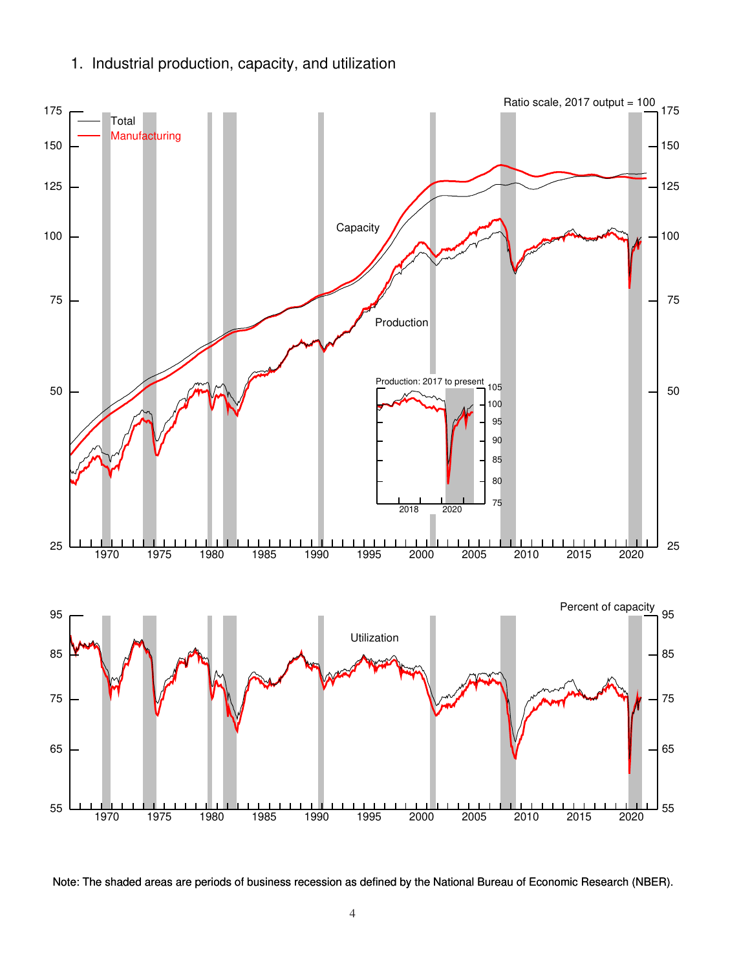1. Industrial production, capacity, and utilization



Note: The shaded areas are periods of business recession as defined by the National Bureau of Economic Research (NBER).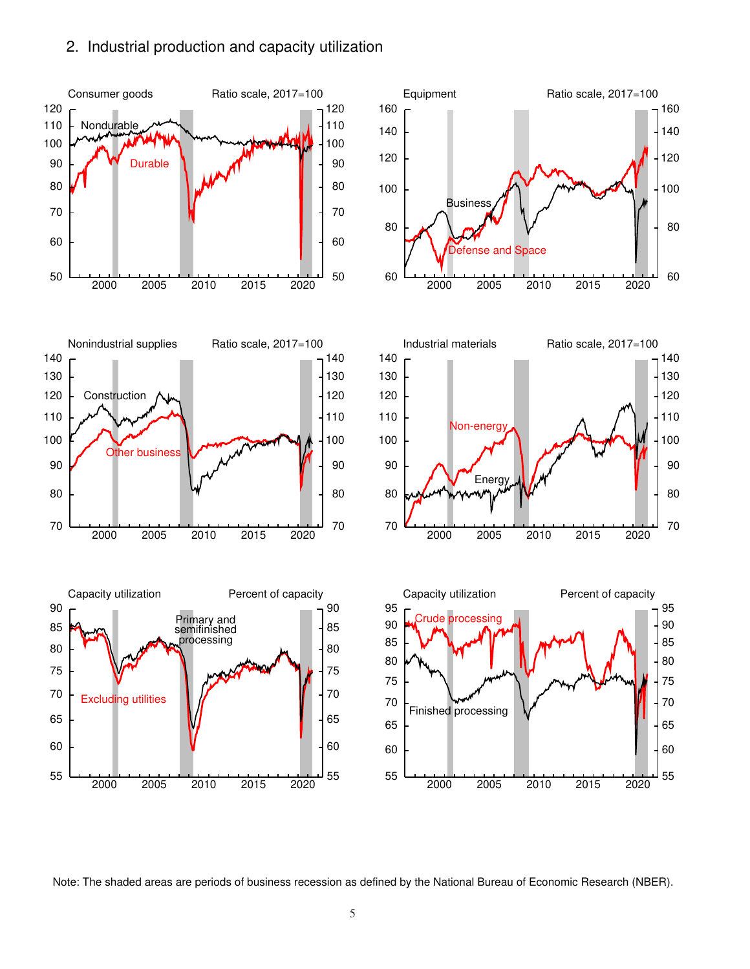### 2. Industrial production and capacity utilization



Note: The shaded areas are periods of business recession as defined by the National Bureau of Economic Research (NBER).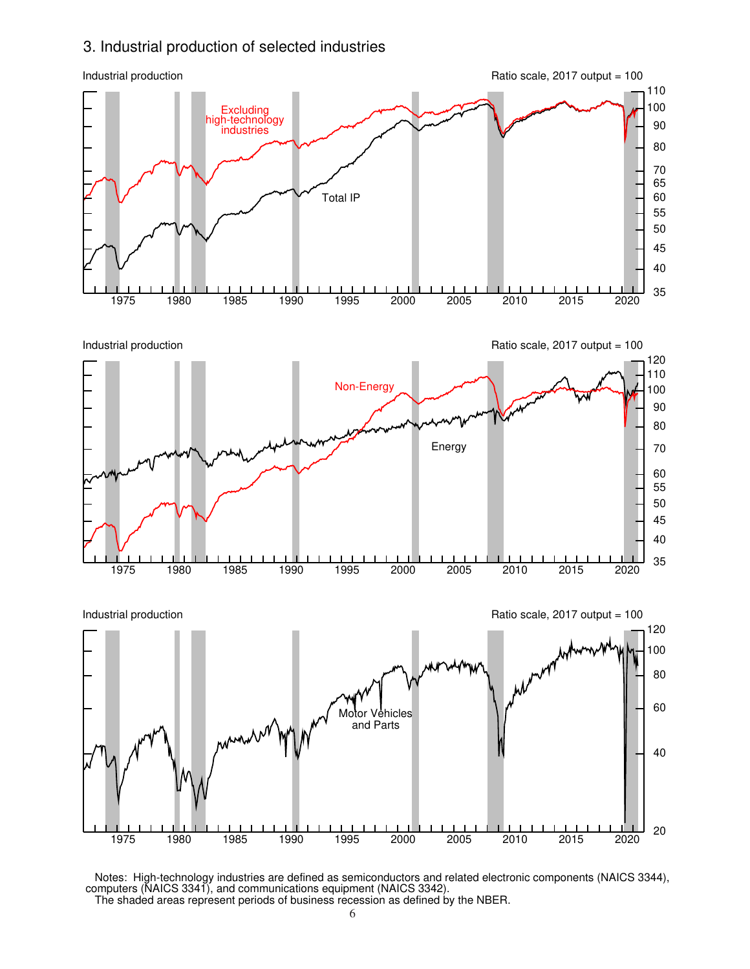### 3. Industrial production of selected industries



 Notes: High-technology industries are defined as semiconductors and related electronic components (NAICS 3344), computers (NAICS 3341), and communications equipment (NAICS 3342). The shaded areas represent periods of business recession as defined by the NBER.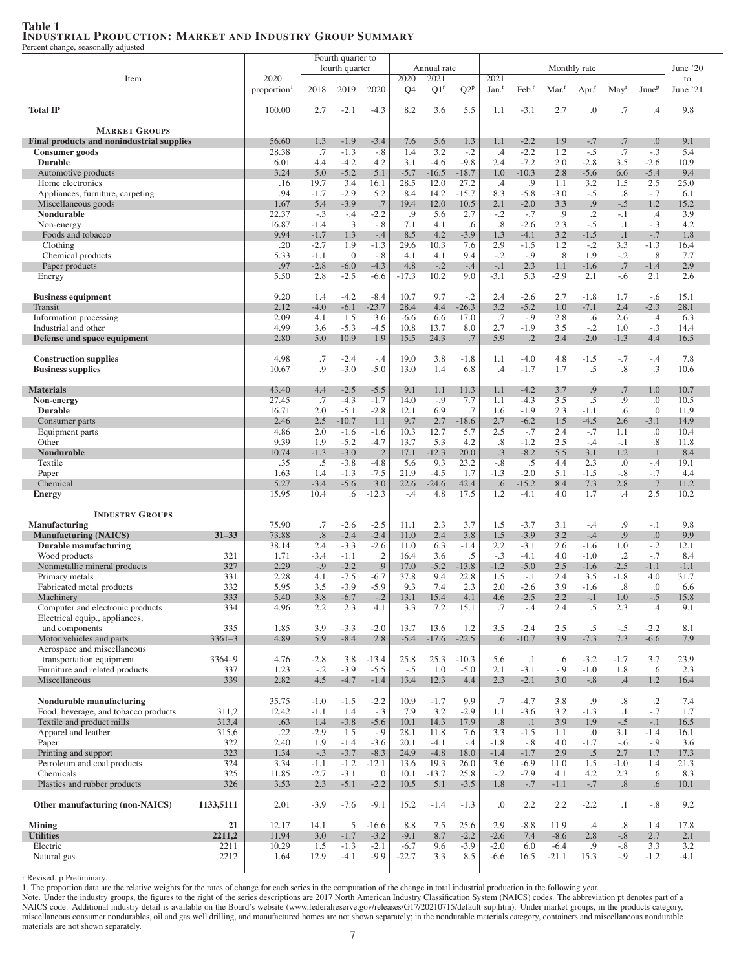### Table 1 INDUSTRIAL PRODUCTION: MARKET AND INDUSTRY GROUP SUMMARY

Percent change, seasonally adjusted

|                                                                    |            |               |                  | Fourth quarter to |                 |                        |                 |                 |                           |                      |                  |                     |                  |                   |                |
|--------------------------------------------------------------------|------------|---------------|------------------|-------------------|-----------------|------------------------|-----------------|-----------------|---------------------------|----------------------|------------------|---------------------|------------------|-------------------|----------------|
|                                                                    |            |               |                  | fourth quarter    |                 |                        | Annual rate     |                 |                           |                      |                  | Monthly rate        |                  |                   | June $20$      |
| Item                                                               |            | 2020          |                  | 2019              | 2020            | 2020<br>Q <sub>4</sub> | 2021            | $Q2^p$          | 2021<br>Jan. <sup>r</sup> | $Feb.$ <sup>r</sup>  |                  |                     |                  | June <sup>p</sup> | to<br>June '21 |
|                                                                    |            | proportion    | 2018             |                   |                 |                        | Q1 <sup>r</sup> |                 |                           |                      | Mar <sup>r</sup> | $Apr.$ <sup>r</sup> | May              |                   |                |
| <b>Total IP</b>                                                    |            | 100.00        | 2.7              | $-2.1$            | $-4.3$          | 8.2                    | 3.6             | 5.5             | 1.1                       | $-3.1$               | 2.7              | $\boldsymbol{0}$    | .7               | .4                | 9.8            |
|                                                                    |            |               |                  |                   |                 |                        |                 |                 |                           |                      |                  |                     |                  |                   |                |
| <b>MARKET GROUPS</b>                                               |            |               |                  |                   |                 |                        |                 |                 |                           |                      |                  |                     |                  |                   |                |
| Final products and nonindustrial supplies                          |            | 56.60         | 1.3              | $-1.9$            | $-3.4$          | 7.6                    | 5.6             | 1.3             | 1.1                       | $-2.2$               | 1.9              | $-.7$               | .7               | .0                | 9.1            |
| Consumer goods<br><b>Durable</b>                                   |            | 28.38<br>6.01 | .7<br>4.4        | $-1.3$<br>$-4.2$  | $-.8$<br>4.2    | 1.4<br>3.1             | 3.2<br>$-4.6$   | $-.2$<br>$-9.8$ | $.4\,$<br>2.4             | $-2.2$<br>$-7.2$     | 1.2<br>2.0       | $-.5$<br>$-2.8$     | .7<br>3.5        | $-.3$<br>$-2.6$   | 5.4<br>10.9    |
| Automotive products                                                |            | 3.24          | 5.0              | $-5.2$            | 5.1             | $-5.7$                 | $-16.5$         | $-18.7$         | 1.0                       | $-10.3$              | 2.8              | $-5.6$              | 6.6              | $-5.4$            | 9.4            |
| Home electronics                                                   |            | .16           | 19.7             | 3.4               | 16.1            | 28.5                   | 12.0            | 27.2            | $.4\,$                    | .9                   | 1.1              | 3.2                 | 1.5              | 2.5               | 25.0           |
| Appliances, furniture, carpeting                                   |            | .94           | $-1.7$           | $-2.9$            | 5.2             | 8.4                    | 14.2            | $-15.7$         | 8.3                       | $-5.8$               | $-3.0$           | $-.5$               | $.8\,$           | $-.7$             | 6.1            |
| Miscellaneous goods                                                |            | 1.67          | 5.4              | $-3.9$            | .7              | 19.4                   | 12.0            | 10.5            | 2.1                       | $-2.0$               | 3.3              | .9                  | $-.5$            | 1.2               | 15.2           |
| Nondurable                                                         |            | 22.37         | $-.3$            | $-.4$             | $-2.2$          | .9                     | 5.6             | 2.7             | $-.2$                     | $-.7$                | .9               | $\cdot$             | $-.1$            | $.4\,$            | 3.9            |
| Non-energy                                                         |            | 16.87         | $-1.4$           | $\cdot$ 3         | $-.8$           | 7.1                    | 4.1             | .6              | .8                        | $-2.6$               | 2.3              | $-.5$               | $\cdot$ 1        | $-.3$             | 4.2            |
| Foods and tobacco<br>Clothing                                      |            | 9.94<br>.20   | $-1.7$<br>$-2.7$ | 1.3<br>1.9        | $-.4$<br>$-1.3$ | 8.5<br>29.6            | 4.2<br>10.3     | $-3.9$<br>7.6   | 1.3<br>2.9                | $-4.1$<br>$-1.5$     | 3.2<br>1.2       | $-1.5$<br>$-.2$     | $\cdot$ 1<br>3.3 | $-.7$<br>$-1.3$   | 1.8<br>16.4    |
| Chemical products                                                  |            | 5.33          | $-1.1$           | $\cdot$           | $-.8$           | 4.1                    | 4.1             | 9.4             | $-.2$                     | $-.9$                | .8               | 1.9                 | $-.2$            | $.8\,$            | 7.7            |
| Paper products                                                     |            | .97           | $-2.8$           | $-6.0$            | $-4.3$          | 4.8                    | $-.2$           | $-.4$           | $-.1$                     | 2.3                  | 1.1              | $-1.6$              | .7               | $-1.4$            | 2.9            |
| Energy                                                             |            | 5.50          | 2.8              | $-2.5$            | $-6.6$          | $-17.3$                | 10.2            | 9.0             | $-3.1$                    | 5.3                  | $-2.9$           | 2.1                 | $-.6$            | 2.1               | 2.6            |
|                                                                    |            |               |                  |                   |                 |                        |                 |                 |                           |                      |                  |                     |                  |                   |                |
| <b>Business equipment</b>                                          |            | 9.20          | 1.4              | $-4.2$            | $-8.4$          | 10.7                   | 9.7             | $-.2$           | 2.4                       | $-2.6$               | 2.7              | $-1.8$              | 1.7              | $-.6$             | 15.1           |
| Transit                                                            |            | 2.12          | $-4.0$           | $-6.1$            | $-23.7$         | 28.4                   | 4.4             | $-26.3$         | 3.2                       | $-5.2$               | 1.0              | $-7.1$              | 2.4              | $-2.3$            | 28.1           |
| Information processing                                             |            | 2.09          | 4.1              | 1.5               | 3.6             | $-6.6$                 | 6.6             | 17.0            | .7                        | $-.9$                | 2.8              | .6                  | 2.6              | $.4\,$            | 6.3            |
| Industrial and other<br>Defense and space equipment                |            | 4.99<br>2.80  | 3.6<br>5.0       | $-5.3$<br>10.9    | $-4.5$<br>1.9   | 10.8<br>15.5           | 13.7<br>24.3    | 8.0<br>.7       | 2.7<br>5.9                | $-1.9$<br>$\cdot$ .2 | 3.5<br>2.4       | $-.2$<br>$-2.0$     | 1.0<br>$-1.3$    | $-.3$<br>4.4      | 14.4<br>16.5   |
|                                                                    |            |               |                  |                   |                 |                        |                 |                 |                           |                      |                  |                     |                  |                   |                |
| <b>Construction supplies</b>                                       |            | 4.98          | .7               | $-2.4$            | $-.4$           | 19.0                   | 3.8             | $-1.8$          | 1.1                       | $-4.0$               | 4.8              | $-1.5$              | $-.7$            | $-.4$             | 7.8            |
| <b>Business supplies</b>                                           |            | 10.67         | .9               | $-3.0$            | $-5.0$          | 13.0                   | 1.4             | 6.8             | .4                        | $-1.7$               | 1.7              | .5                  | .8               | .3                | 10.6           |
|                                                                    |            |               |                  |                   |                 |                        |                 |                 |                           |                      |                  |                     |                  |                   |                |
| <b>Materials</b>                                                   |            | 43.40         | 4.4              | $-2.5$            | $-5.5$          | 9.1                    | 1.1             | 11.3            | 1.1                       | $-4.2$               | 3.7              | .9                  | .7               | 1.0               | 10.7           |
| Non-energy                                                         |            | 27.45         | .7               | $-4.3$            | $-1.7$          | 14.0                   | $-.9$           | 7.7             | 1.1                       | $-4.3$               | 3.5              | $.5\,$              | .9               | .0                | 10.5           |
| <b>Durable</b>                                                     |            | 16.71<br>2.46 | 2.0              | $-5.1$<br>$-10.7$ | $-2.8$          | 12.1<br>9.7            | 6.9             | .7              | 1.6<br>2.7                | $-1.9$<br>$-6.2$     | 2.3<br>1.5       | $-1.1$              | .6<br>2.6        | .0                | 11.9<br>14.9   |
| Consumer parts<br>Equipment parts                                  |            | 4.86          | 2.5<br>2.0       | $-1.6$            | 1.1<br>$-1.6$   | 10.3                   | 2.7<br>12.7     | $-18.6$<br>5.7  | 2.5                       | $-.7$                | 2.4              | $-4.5$<br>$-.7$     | 1.1              | $-3.1$<br>.0      | 10.4           |
| Other                                                              |            | 9.39          | 1.9              | $-5.2$            | $-4.7$          | 13.7                   | 5.3             | 4.2             | .8                        | $-1.2$               | 2.5              | $-.4$               | $-.1$            | .8                | 11.8           |
| <b>Nondurable</b>                                                  |            | 10.74         | $-1.3$           | $-3.0$            | $\cdot$ .2      | 17.1                   | $-12.3$         | 20.0            | .3                        | $-8.2$               | 5.5              | 3.1                 | 1.2              | $\cdot$ 1         | 8.4            |
| Textile                                                            |            | .35           | .5               | $-3.8$            | $-4.8$          | 5.6                    | 9.3             | 23.2            | $-.8$                     | .5                   | 4.4              | 2.3                 | .0               | $-.4$             | 19.1           |
| Paper                                                              |            | 1.63          | 1.4              | $-1.3$            | $-7.5$          | 21.9                   | $-4.5$          | 1.7             | $-1.3$                    | $-2.0$               | 5.1              | $-1.5$              | $-.8$            | $-.7$             | 4.4            |
| Chemical                                                           |            | 5.27          | $-3.4$           | $-5.6$            | 3.0             | 22.6                   | $-24.6$         | 42.4            | .6                        | $-15.2$              | 8.4              | 7.3                 | 2.8              | .7                | 11.2           |
| <b>Energy</b>                                                      |            | 15.95         | 10.4             | .6                | $-12.3$         | $-.4$                  | 4.8             | 17.5            | 1.2                       | $-4.1$               | 4.0              | 1.7                 | .4               | 2.5               | 10.2           |
| <b>INDUSTRY GROUPS</b>                                             |            |               |                  |                   |                 |                        |                 |                 |                           |                      |                  |                     |                  |                   |                |
| <b>Manufacturing</b>                                               |            | 75.90         | .7               | $-2.6$            | $-2.5$          | 11.1                   | 2.3             | 3.7             | 1.5                       | $-3.7$               | 3.1              | $-.4$               | .9               | $-.1$             | 9.8            |
| <b>Manufacturing (NAICS)</b>                                       | $31 - 33$  | 73.88         | .8               | $-2.4$            | $-2.4$          | 11.0                   | 2.4             | 3.8             | 1.5                       | $-3.9$               | 3.2              | $-.4$               | .9               | .0                | 9.9            |
| Durable manufacturing                                              |            | 38.14         | 2.4              | $-3.3$            | $-2.6$          | 11.0                   | 6.3             | $-1.4$          | 2.2                       | $-3.1$               | 2.6              | $-1.6$              | 1.0              | $-.2$             | 12.1           |
| Wood products                                                      | 321        | 1.71          | $-3.4$           | $-1.1$            | $\cdot$ .2      | 16.4                   | 3.6             | $.5\,$          | $-.3$                     | $-4.1$               | 4.0              | $-1.0$              | $\cdot$ .2       | $-.7$             | 8.4            |
| Nonmetallic mineral products                                       | 327        | 2.29          | $-.9$            | $-2.2$            | .9              | 17.0                   | $-5.2$          | $-13.8$         | $-1.2$                    | $-5.0$               | 2.5              | $-1.6$              | $-2.5$           | $-1.1$            | $-1.1$         |
| Primary metals                                                     | 331        | 2.28          | 4.1              | $-7.5$            | $-6.7$          | 37.8                   | 9.4             | 22.8            | 1.5                       | $-.1$                | 2.4              | 3.5                 | $-1.8$           | 4.0               | 31.7           |
| Fabricated metal products                                          | 332        | 5.95          | 3.5              | $-3.9$            | $-5.9$          | 9.3                    | 7.4             | 2.3             | 2.0                       | $-2.6$               | 3.9              | $-1.6$              | .8               | .0                | 6.6            |
| Machinery                                                          | 333        | 5.40          | 3.8              | $-6.7$            | $-.2$           | 13.1                   | 15.4            | 4.1             | 4.6                       | $-2.5$               | 2.2              | $-.1$               | 1.0              | $-.5$             | 15.8           |
| Computer and electronic products<br>Electrical equip., appliances, | 334        | 4.96          | 2.2              | 2.3               | 4.1             | 3.3                    | 7.2             | 15.1            | .7                        | $-.4$                | 2.4              | .5                  | 2.3              | $.4\,$            | 9.1            |
| and components                                                     | 335        | 1.85          | 3.9              | $-3.3$            | $-2.0$          | 13.7                   | 13.6            | 1.2             | 3.5                       | $-2.4$               | 2.5              | $.5\,$              | $-.5$            | $-2.2$            | 8.1            |
| Motor vehicles and parts                                           | $3361 - 3$ | 4.89          | 5.9              | $-8.4$            | 2.8             | $-5.4$                 | $-17.6$         | $-22.5$         | .6                        | $-10.7$              | 3.9              | $-7.3$              | 7.3              | $-6.6$            | 7.9            |
| Aerospace and miscellaneous                                        |            |               |                  |                   |                 |                        |                 |                 |                           |                      |                  |                     |                  |                   |                |
| transportation equipment                                           | 3364-9     | 4.76          | $-2.8$           | 3.8               | $-13.4$         | 25.8                   | 25.3            | $-10.3$         | 5.6                       | $\cdot$ 1            | .6               | $-3.2$              | $-1.7$           | 3.7               | 23.9           |
| Furniture and related products                                     | 337        | 1.23          | $-.2$            | $-3.9$            | $-5.5$          | $-.5$                  | 1.0             | $-5.0$          | 2.1                       | $-3.1$               | $-.9$            | $-1.0$              | 1.8              | .6                | 2.3            |
| Miscellaneous                                                      | 339        | 2.82          | 4.5              | $-4.7$            | $-1.4$          | 13.4                   | 12.3            | 4.4             | 2.3                       | $-2.1$               | 3.0              | $-.8$               | $.4\phantom{0}$  | 1.2               | 16.4           |
| Nondurable manufacturing                                           |            | 35.75         | $-1.0$           | $-1.5$            | $-2.2$          | 10.9                   | $-1.7$          | 9.9             | .7                        | $-4.7$               | 3.8              | .9                  | .8               | $.2\,$            | 7.4            |
| Food, beverage, and tobacco products                               | 311,2      | 12.42         | $-1.1$           | 1.4               | $-.3$           | 7.9                    | 3.2             | $-2.9$          | 1.1                       | $-3.6$               | 3.2              | $-1.3$              | $\cdot$ 1        | $-.7$             | 1.7            |
| Textile and product mills                                          | 313,4      | .63           | 1.4              | $-3.8$            | $-5.6$          | 10.1                   | 14.3            | 17.9            | .8                        | $\cdot$ 1            | 3.9              | 1.9                 | $-.5$            | $-.1$             | 16.5           |
| Apparel and leather                                                | 315,6      | .22           | $-2.9$           | 1.5               | $-.9$           | 28.1                   | 11.8            | 7.6             | 3.3                       | $-1.5$               | 1.1              | .0                  | 3.1              | $-1.4$            | 16.1           |
| Paper                                                              | 322        | 2.40          | 1.9              | $-1.4$            | $-3.6$          | 20.1                   | $-4.1$          | $-.4$           | $-1.8$                    | $-.8$                | 4.0              | $-1.7$              | $-.6$            | $-.9$             | 3.6            |
| Printing and support                                               | 323        | 1.34          | $-.3$            | $-3.7$            | $-8.3$          | 24.9                   | $-4.8$          | 18.0            | $-1.4$                    | $-1.7$               | 2.9              | .5                  | 2.7              | 1.7               | 17.3           |
| Petroleum and coal products                                        | 324        | 3.34          | $-1.1$           | $-1.2$            | $-12.1$         | 13.6                   | 19.3            | 26.0            | 3.6                       | $-6.9$               | 11.0             | 1.5                 | $-1.0$           | 1.4               | 21.3           |
| Chemicals                                                          | 325        | 11.85         | $-2.7$           | $-3.1$            | .0              | 10.1                   | $-13.7$         | 25.8            | $-.2$                     | $-7.9$               | 4.1              | 4.2                 | 2.3              | .6                | 8.3            |
| Plastics and rubber products                                       | 326        | 3.53          | 2.3              | $-5.1$            | $-2.2$          | 10.5                   | 5.1             | $-3.5$          | 1.8                       | $-.7$                | $-1.1$           | $-.7$               | .8               | $.6\,$            | 10.1           |
| Other manufacturing (non-NAICS)                                    | 1133,5111  | 2.01          | $-3.9$           | $-7.6$            | $-9.1$          | 15.2                   | $-1.4$          | $-1.3$          | 0.                        | 2.2                  | 2.2              | $-2.2$              | $\cdot$ 1        | $-.8$             | 9.2            |
|                                                                    |            |               |                  |                   |                 |                        |                 |                 |                           |                      |                  |                     |                  |                   |                |
| <b>Mining</b>                                                      | 21         | 12.17         | 14.1             | .5                | $-16.6$         | 8.8                    | 7.5             | 25.6            | 2.9                       | $-8.8$               | 11.9             | $\cdot$             | $.8\,$           | 1.4               | 17.8           |
| <b>Utilities</b>                                                   | 2211,2     | 11.94         | 3.0              | $-1.7$            | $-3.2$          | $-9.1$                 | 8.7             | $-2.2$          | $-2.6$                    | 7.4                  | $-8.6$           | 2.8                 | $-.8$            | 2.7               | 2.1            |
| Electric                                                           | 2211       | 10.29         | 1.5              | $-1.3$            | $-2.1$          | $-6.7$                 | 9.6             | $-3.9$          | $-2.0$                    | 6.0                  | $-6.4$           | .9                  | $-.8$            | 3.3               | 3.2            |
| Natural gas                                                        | 2212       | 1.64          | 12.9             | $-4.1$            | $-9.9$          | $-22.7$                | 3.3             | 8.5             | $-6.6$                    | 16.5                 | $-21.1$          | 15.3                | $-0.9$           | $-1.2$            | $-4.1$         |

r Revised. p Preliminary.

1. The proportion data are the relative weights for the rates of change for each series in the computation of the change in total industrial production in the following year.

Note. Under the industry groups, the figures to the right of the series descriptions are 2017 North American Industry Classification System (NAICS) codes. The abbreviation pt denotes part of a NAICS code. Additional industry detail is available on the Board's website (www.federalreserve.gov/releases/G17/20210715/default sup.htm). Under market groups, in the products category, miscellaneous consumer nondurables, oil and gas well drilling, and manufactured homes are not shown separately; in the nondurable materials category, containers and miscellaneous nondurable materials are not shown separately.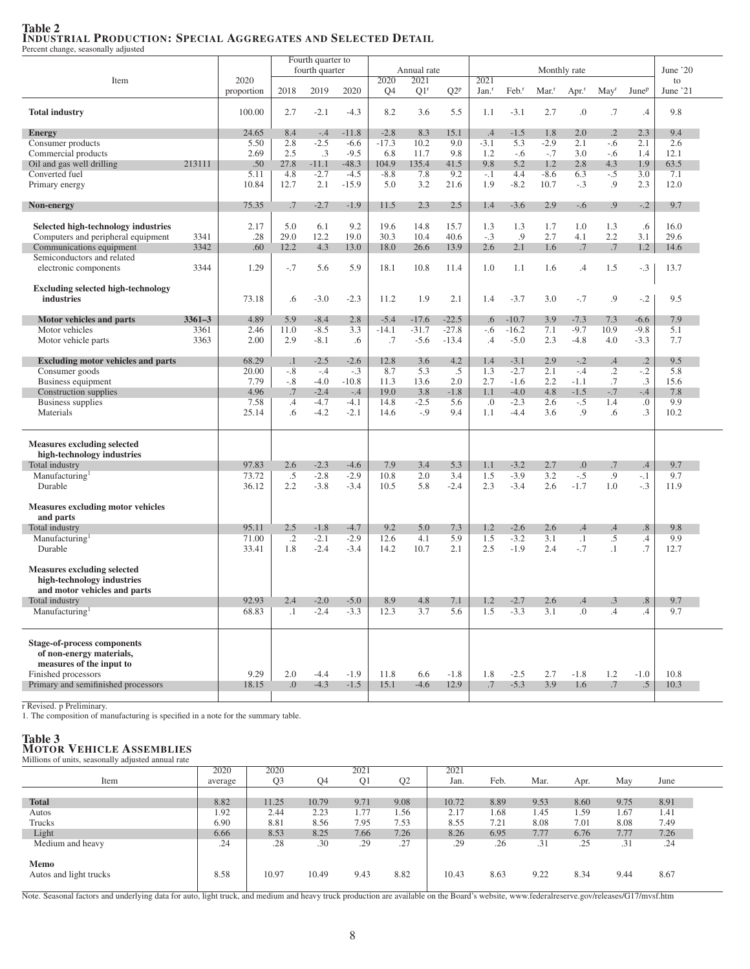### Table 2 INDUSTRIAL PRODUCTION: SPECIAL AGGREGATES AND SELECTED DETAIL

Percent change, seasonally adjusted

|                                           |            |               |            | Fourth quarter to |                  |                |                 |            |                   |                     |                  |                     |                  |                      |          |
|-------------------------------------------|------------|---------------|------------|-------------------|------------------|----------------|-----------------|------------|-------------------|---------------------|------------------|---------------------|------------------|----------------------|----------|
|                                           |            |               |            | fourth quarter    |                  |                | Annual rate     |            |                   |                     | Monthly rate     |                     |                  |                      | June '20 |
| Item                                      |            | 2020          |            |                   |                  | 2020           | 2021            |            | 2021              |                     |                  |                     |                  |                      | to       |
|                                           |            | proportion    | 2018       | 2019              | 2020             | Q <sub>4</sub> | Q1 <sup>r</sup> | $Q2^p$     | Jan. <sup>r</sup> | $Feb.$ <sup>r</sup> | Mar <sup>r</sup> | $Apr.$ <sup>r</sup> | May <sup>r</sup> | June <sup>p</sup>    | June '21 |
| <b>Total industry</b>                     |            | 100.00        | 2.7        | $-2.1$            | $-4.3$           | 8.2            | 3.6             | 5.5        | 1.1               | $-3.1$              | 2.7              | .0                  | .7               | .4                   | 9.8      |
|                                           |            |               |            |                   |                  |                |                 |            |                   |                     |                  |                     |                  |                      |          |
| <b>Energy</b>                             |            | 24.65         | 8.4        | $-.4$             | $-11.8$          | $-2.8$         | 8.3             | 15.1       | .4                | $-1.5$              | 1.8              | 2.0                 | $\cdot$          | 2.3                  | 9.4      |
| Consumer products                         |            | 5.50          | 2.8        | $-2.5$            | $-6.6$           | $-17.3$        | 10.2            | 9.0        | $-3.1$            | 5.3                 | $-2.9$           | 2.1                 | $-.6$            | 2.1                  | 2.6      |
| Commercial products                       |            | 2.69          | 2.5        | $.3\phantom{0}$   | $-9.5$           | 6.8            | 11.7            | 9.8        | 1.2               | $-.6$               | $-.7$            | 3.0                 | $-.6$            | 1.4                  | 12.1     |
| Oil and gas well drilling                 | 213111     | .50           | 27.8       | $-11.1$           | $-48.3$          | 104.9          | 135.4           | 41.5       | 9.8               | 5.2                 | 1.2              | 2.8                 | 4.3              | 1.9                  | 63.5     |
| Converted fuel                            |            | 5.11          | 4.8        | $-2.7$            | $-4.5$           | $-8.8$         | 7.8             | 9.2        | $-.1$             | 4.4                 | $-8.6$           | 6.3                 | $-.5$            | 3.0                  | 7.1      |
| Primary energy                            |            | 10.84         | 12.7       | 2.1               | $-15.9$          | 5.0            | 3.2             | 21.6       | 1.9               | $-8.2$              | 10.7             | $-.3$               | .9               | 2.3                  | 12.0     |
|                                           |            |               |            |                   |                  |                |                 |            |                   |                     |                  |                     |                  |                      |          |
| Non-energy                                |            | 75.35         | .7         | $-2.7$            | $-1.9$           | 11.5           | 2.3             | 2.5        | 1.4               | $-3.6$              | 2.9              | $-.6$               | .9               | $-.2$                | 9.7      |
|                                           |            |               |            |                   |                  |                |                 |            |                   |                     |                  |                     |                  |                      |          |
| Selected high-technology industries       |            | 2.17          | 5.0        | 6.1               | 9.2              | 19.6           | 14.8            | 15.7       | 1.3               | 1.3                 | 1.7              | 1.0                 | 1.3              | .6                   | 16.0     |
| Computers and peripheral equipment        | 3341       | .28           | 29.0       | 12.2              | 19.0             | 30.3           | 10.4            | 40.6       | $-.3$             | .9                  | 2.7              | 4.1                 | 2.2              | 3.1                  | 29.6     |
| Communications equipment                  | 3342       | .60           | 12.2       | 4.3               | 13.0             | 18.0           | 26.6            | 13.9       | 2.6               | 2.1                 | 1.6              | .7                  | .7               | 1.2                  | 14.6     |
| Semiconductors and related                |            |               |            |                   |                  |                |                 |            |                   |                     |                  |                     |                  |                      |          |
| electronic components                     | 3344       | 1.29          | $-.7$      | 5.6               | 5.9              | 18.1           | 10.8            | 11.4       | 1.0               | 1.1                 | 1.6              | $.4\,$              | 1.5              | $-.3$                | 13.7     |
|                                           |            |               |            |                   |                  |                |                 |            |                   |                     |                  |                     |                  |                      |          |
| <b>Excluding selected high-technology</b> |            |               |            |                   |                  |                |                 |            |                   |                     |                  |                     |                  |                      |          |
| industries                                |            | 73.18         | .6         | $-3.0$            | $-2.3$           | 11.2           | 1.9             | 2.1        | 1.4               | $-3.7$              | 3.0              | $-.7$               | .9               | $-.2$                | 9.5      |
|                                           |            |               |            |                   |                  |                |                 |            |                   |                     |                  |                     |                  |                      |          |
| Motor vehicles and parts                  | $3361 - 3$ | 4.89          | 5.9        | $-8.4$            | 2.8              | $-5.4$         | $-17.6$         | $-22.5$    | .6                | $-10.7$             | 3.9              | $-7.3$              | 7.3              | $-6.6$               | 7.9      |
| Motor vehicles                            | 3361       | 2.46          | 11.0       | $-8.5$            | 3.3              | $-14.1$        | $-31.7$         | $-27.8$    | -.6               | $-16.2$             | 7.1              | $-9.7$              | 10.9             | $-9.8$               | 5.1      |
| Motor vehicle parts                       | 3363       | 2.00          | 2.9        | $-8.1$            | .6               | .7             | $-5.6$          | $-13.4$    | .4                | $-5.0$              | 2.3              | $-4.8$              | 4.0              | $-3.3$               | 7.7      |
| <b>Excluding motor vehicles and parts</b> |            | 68.29         | $\cdot$    | $-2.5$            | $-2.6$           | 12.8           | 3.6             | 4.2        | 1.4               | $-3.1$              | 2.9              | $-.2$               | $\cdot$ 4        | $\cdot$ .2           | 9.5      |
| Consumer goods                            |            | 20.00         | $-.8$      | $-.4$             | $-.3$            | 8.7            | 5.3             | $.5\,$     | 1.3               | $-2.7$              | 2.1              | $-.4$               | $\cdot$          | $-.2$                | 5.8      |
| Business equipment                        |            | 7.79          | $-.8$      | $-4.0$            | $-10.8$          | 11.3           | 13.6            | 2.0        | 2.7               | $-1.6$              | 2.2              | $-1.1$              | .7               | .3                   | 15.6     |
| Construction supplies                     |            | 4.96          | .7         | $-2.4$            |                  | 19.0           | 3.8             | $-1.8$     | 1.1               | $-4.0$              | 4.8              | $-1.5$              |                  |                      | 7.8      |
|                                           |            |               |            |                   | $-.4$            |                |                 |            |                   |                     |                  |                     | $-.7$            | $-.4$                | 9.9      |
| Business supplies<br>Materials            |            | 7.58<br>25.14 | .4<br>.6   | $-4.7$<br>$-4.2$  | $-4.1$<br>$-2.1$ | 14.8<br>14.6   | $-2.5$<br>$-.9$ | 5.6<br>9.4 | .0<br>1.1         | $-2.3$<br>$-4.4$    | 2.6<br>3.6       | $-.5$<br>.9         | 1.4<br>.6        | $\cdot$<br>$\cdot$ 3 | 10.2     |
|                                           |            |               |            |                   |                  |                |                 |            |                   |                     |                  |                     |                  |                      |          |
|                                           |            |               |            |                   |                  |                |                 |            |                   |                     |                  |                     |                  |                      |          |
| <b>Measures excluding selected</b>        |            |               |            |                   |                  |                |                 |            |                   |                     |                  |                     |                  |                      |          |
| high-technology industries                |            |               |            |                   |                  |                |                 |            |                   |                     |                  |                     |                  |                      |          |
| Total industry                            |            | 97.83         | 2.6        | $-2.3$            | $-4.6$           | 7.9            | 3.4             | 5.3        | 1.1               | $-3.2$              | 2.7              | 0.                  | .7               | $.4\,$               | 9.7      |
| Manufacturing                             |            | 73.72         | $.5\,$     | $-2.8$            | $-2.9$           | 10.8           | 2.0             | 3.4        | 1.5               | $-3.9$              | 3.2              | $-.5$               | .9               | $-.1$                | 9.7      |
| Durable                                   |            | 36.12         | 2.2        | $-3.8$            | $-3.4$           | 10.5           | 5.8             | $-2.4$     | 2.3               | $-3.4$              | 2.6              | $-1.7$              | 1.0              | $-.3$                | 11.9     |
|                                           |            |               |            |                   |                  |                |                 |            |                   |                     |                  |                     |                  |                      |          |
| <b>Measures excluding motor vehicles</b>  |            |               |            |                   |                  |                |                 |            |                   |                     |                  |                     |                  |                      |          |
| and parts                                 |            |               |            |                   |                  |                |                 |            |                   |                     |                  |                     |                  |                      |          |
| Total industry                            |            | 95.11         | 2.5        | $-1.8$            | $-4.7$           | 9.2            | 5.0             | 7.3        | 1.2               | $-2.6$              | 2.6              | $.4\,$              | .4               | .8                   | 9.8      |
| Manufacturing                             |            | 71.00         | $\cdot$ .2 | $-2.1$            | $-2.9$           | 12.6           | 4.1             | 5.9        | 1.5               | $-3.2$              | 3.1              | $\cdot$ 1           | $.5\,$           | $\cdot$              | 9.9      |
| Durable                                   |            | 33.41         | 1.8        | $-2.4$            | $-3.4$           | 14.2           | 10.7            | 2.1        | 2.5               | $-1.9$              | 2.4              | $-.7$               | $\cdot$ 1        | .7                   | 12.7     |
| <b>Measures excluding selected</b>        |            |               |            |                   |                  |                |                 |            |                   |                     |                  |                     |                  |                      |          |
| high-technology industries                |            |               |            |                   |                  |                |                 |            |                   |                     |                  |                     |                  |                      |          |
| and motor vehicles and parts              |            |               |            |                   |                  |                |                 |            |                   |                     |                  |                     |                  |                      |          |
| Total industry                            |            | 92.93         | 2.4        | $-2.0$            | $-5.0$           | 8.9            | 4.8             | 7.1        | 1.2               | $-2.7$              | 2.6              | .4                  | .3               | 8.                   | 9.7      |
| Manufacturing <sup>1</sup>                |            |               |            | $-2.4$            | $-3.3$           |                | 3.7             |            | 1.5               | $-3.3$              |                  | 0.                  | $\mathcal{A}$    |                      |          |
|                                           |            | 68.83         | $\cdot$    |                   |                  | 12.3           |                 | 5.6        |                   |                     | 3.1              |                     |                  | .4                   | 9.7      |
|                                           |            |               |            |                   |                  |                |                 |            |                   |                     |                  |                     |                  |                      |          |
| <b>Stage-of-process components</b>        |            |               |            |                   |                  |                |                 |            |                   |                     |                  |                     |                  |                      |          |
| of non-energy materials,                  |            |               |            |                   |                  |                |                 |            |                   |                     |                  |                     |                  |                      |          |
| measures of the input to                  |            |               |            |                   |                  |                |                 |            |                   |                     |                  |                     |                  |                      |          |
| Finished processors                       |            | 9.29          | 2.0        | $-4.4$            | $-1.9$           | 11.8           | 6.6             | $-1.8$     | 1.8               | $-2.5$              | 2.7              | $-1.8$              | 1.2              | $-1.0$               | 10.8     |
| Primary and semifinished processors       |            | 18.15         | 0.         | $-4.3$            | $-1.5$           | 15.1           | $-4.6$          | 12.9       | .7                | $-5.3$              | 3.9              | 1.6                 | .7               | $.5\,$               | 10.3     |
|                                           |            |               |            |                   |                  |                |                 |            |                   |                     |                  |                     |                  |                      |          |

r Revised. p Preliminary. 1. The composition of manufacturing is specified in a note for the summary table.

## Table 3 MOTOR VEHICLE ASSEMBLIES Millions of units, seasonally adjusted annual rate

|                        | 2020    | 2020           |       | 2021           |                | 2021  |      |      |      |      |      |
|------------------------|---------|----------------|-------|----------------|----------------|-------|------|------|------|------|------|
| Item                   | average | Q <sub>3</sub> | Q4    | Q <sub>1</sub> | Q <sub>2</sub> | Jan.  | Feb. | Mar. | Apr. | May  | June |
|                        |         |                |       |                |                |       |      |      |      |      |      |
| <b>Total</b>           | 8.82    | 11.25          | 10.79 | 9.71           | 9.08           | 10.72 | 8.89 | 9.53 | 8.60 | 9.75 | 8.91 |
| Autos                  | 1.92    | 2.44           | 2.23  | 1.77           | 1.56           | 2.17  | 1.68 | 1.45 | 1.59 | 1.67 | 1.41 |
| Trucks                 | 6.90    | 8.81           | 8.56  | 7.95           | 7.53           | 8.55  | 7.21 | 8.08 | 7.01 | 8.08 | 7.49 |
| Light                  | 6.66    | 8.53           | 8.25  | 7.66           | 7.26           | 8.26  | 6.95 | 7.77 | 6.76 | 7.77 | 7.26 |
| Medium and heavy       | .24     | .28            | .30   | .29            | .27            | .29   | .26  | .31  | .25  | .31  | .24  |
|                        |         |                |       |                |                |       |      |      |      |      |      |
| Memo                   |         |                |       |                |                |       |      |      |      |      |      |
| Autos and light trucks | 8.58    | 10.97          | 10.49 | 9.43           | 8.82           | 10.43 | 8.63 | 9.22 | 8.34 | 9.44 | 8.67 |
|                        |         |                |       |                |                |       |      |      |      |      |      |

Note. Seasonal factors and underlying data for auto, light truck, and medium and heavy truck production are available on the Board's website, www.federalreserve.gov/releases/G17/mvsf.htm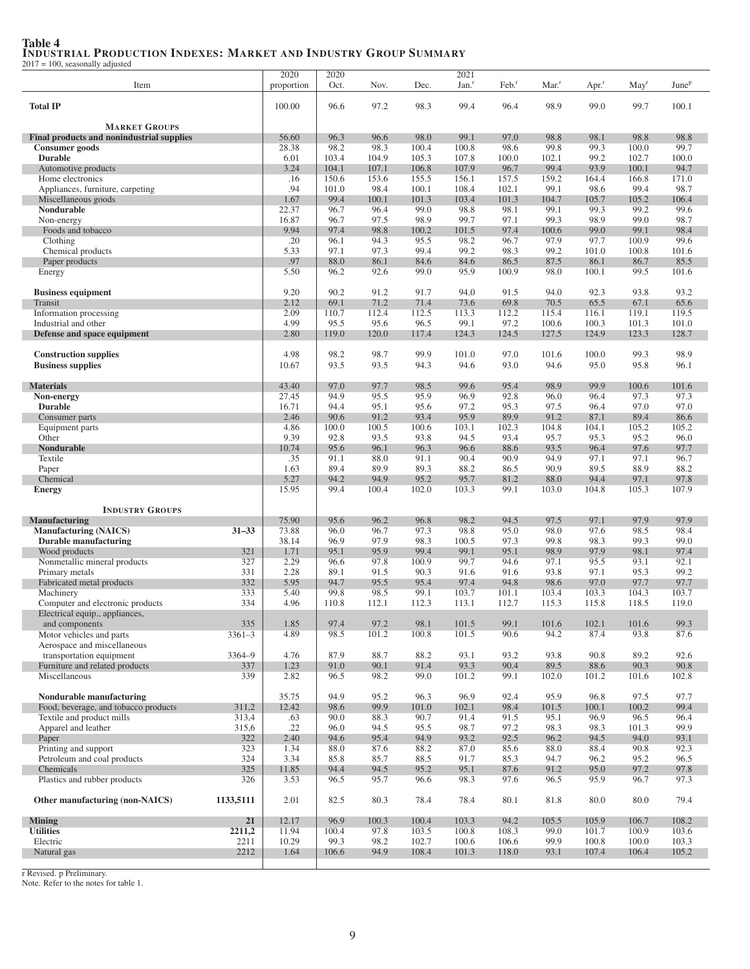## Table 4 INDUSTRIAL PRODUCTION INDEXES: MARKET AND INDUSTRY GROUP SUMMARY 2017 = 100, seasonally adjusted

| 100, seasonary aujustee                                           |                |                    |               |               |                |                           |                          |                  |                     |                  |                   |
|-------------------------------------------------------------------|----------------|--------------------|---------------|---------------|----------------|---------------------------|--------------------------|------------------|---------------------|------------------|-------------------|
| Item                                                              |                | 2020<br>proportion | 2020<br>Oct.  | Nov.          | Dec.           | 2021<br>Jan. <sup>r</sup> | $\text{Feb.}^{\text{r}}$ | Mar <sup>r</sup> | $Apr.$ <sup>r</sup> | May <sup>r</sup> | June <sup>p</sup> |
|                                                                   |                |                    |               |               |                |                           |                          |                  |                     |                  |                   |
| <b>Total IP</b>                                                   |                | 100.00             | 96.6          | 97.2          | 98.3           | 99.4                      | 96.4                     | 98.9             | 99.0                | 99.7             | 100.1             |
|                                                                   |                |                    |               |               |                |                           |                          |                  |                     |                  |                   |
| <b>MARKET GROUPS</b>                                              |                |                    |               |               |                |                           |                          |                  |                     |                  |                   |
| Final products and nonindustrial supplies<br>Consumer goods       |                | 56.60<br>28.38     | 96.3<br>98.2  | 96.6<br>98.3  | 98.0<br>100.4  | 99.1<br>100.8             | 97.0<br>98.6             | 98.8<br>99.8     | 98.1<br>99.3        | 98.8<br>100.0    | 98.8<br>99.7      |
| <b>Durable</b>                                                    |                | 6.01               | 103.4         | 104.9         | 105.3          | 107.8                     | 100.0                    | 102.1            | 99.2                | 102.7            | 100.0             |
| Automotive products                                               |                | 3.24               | 104.1         | 107.1         | 106.8          | 107.9                     | 96.7                     | 99.4             | 93.9                | 100.1            | 94.7              |
| Home electronics                                                  |                | .16                | 150.6         | 153.6         | 155.5          | 156.1                     | 157.5                    | 159.2            | 164.4               | 166.8            | 171.0             |
| Appliances, furniture, carpeting                                  |                | .94                | 101.0         | 98.4          | 100.1          | 108.4                     | 102.1                    | 99.1             | 98.6                | 99.4             | 98.7              |
| Miscellaneous goods                                               |                | 1.67               | 99.4          | 100.1         | 101.3          | 103.4                     | 101.3                    | 104.7            | 105.7               | 105.2            | 106.4             |
| Nondurable                                                        |                | 22.37              | 96.7          | 96.4<br>97.5  | 99.0           | 98.8                      | 98.1<br>97.1             | 99.1             | 99.3                | 99.2             | 99.6              |
| Non-energy<br>Foods and tobacco                                   |                | 16.87<br>9.94      | 96.7<br>97.4  | 98.8          | 98.9<br>100.2  | 99.7<br>101.5             | 97.4                     | 99.3<br>100.6    | 98.9<br>99.0        | 99.0<br>99.1     | 98.7<br>98.4      |
| Clothing                                                          |                | .20                | 96.1          | 94.3          | 95.5           | 98.2                      | 96.7                     | 97.9             | 97.7                | 100.9            | 99.6              |
| Chemical products                                                 |                | 5.33               | 97.1          | 97.3          | 99.4           | 99.2                      | 98.3                     | 99.2             | 101.0               | 100.8            | 101.6             |
| Paper products                                                    |                | .97                | 88.0          | 86.1          | 84.6           | 84.6                      | 86.5                     | 87.5             | 86.1                | 86.7             | 85.5              |
| Energy                                                            |                | 5.50               | 96.2          | 92.6          | 99.0           | 95.9                      | 100.9                    | 98.0             | 100.1               | 99.5             | 101.6             |
|                                                                   |                |                    |               |               |                |                           |                          |                  |                     |                  |                   |
| <b>Business equipment</b>                                         |                | 9.20               | 90.2          | 91.2          | 91.7           | 94.0                      | 91.5                     | 94.0             | 92.3                | 93.8             | 93.2              |
| Transit<br>Information processing                                 |                | 2.12<br>2.09       | 69.1<br>110.7 | 71.2<br>112.4 | 71.4<br>112.5  | 73.6<br>113.3             | 69.8<br>112.2            | 70.5<br>115.4    | 65.5<br>116.1       | 67.1<br>119.1    | 65.6<br>119.5     |
| Industrial and other                                              |                | 4.99               | 95.5          | 95.6          | 96.5           | 99.1                      | 97.2                     | 100.6            | 100.3               | 101.3            | 101.0             |
| Defense and space equipment                                       |                | 2.80               | 119.0         | 120.0         | 117.4          | 124.3                     | 124.5                    | 127.5            | 124.9               | 123.3            | 128.7             |
|                                                                   |                |                    |               |               |                |                           |                          |                  |                     |                  |                   |
| <b>Construction supplies</b>                                      |                | 4.98               | 98.2          | 98.7          | 99.9           | 101.0                     | 97.0                     | 101.6            | 100.0               | 99.3             | 98.9              |
| <b>Business supplies</b>                                          |                | 10.67              | 93.5          | 93.5          | 94.3           | 94.6                      | 93.0                     | 94.6             | 95.0                | 95.8             | 96.1              |
|                                                                   |                |                    |               |               |                |                           |                          |                  |                     |                  |                   |
| <b>Materials</b><br>Non-energy                                    |                | 43.40<br>27.45     | 97.0<br>94.9  | 97.7<br>95.5  | 98.5<br>95.9   | 99.6<br>96.9              | 95.4<br>92.8             | 98.9<br>96.0     | 99.9<br>96.4        | 100.6<br>97.3    | 101.6<br>97.3     |
| <b>Durable</b>                                                    |                | 16.71              | 94.4          | 95.1          | 95.6           | 97.2                      | 95.3                     | 97.5             | 96.4                | 97.0             | 97.0              |
| Consumer parts                                                    |                | 2.46               | 90.6          | 91.2          | 93.4           | 95.9                      | 89.9                     | 91.2             | 87.1                | 89.4             | 86.6              |
| Equipment parts                                                   |                | 4.86               | 100.0         | 100.5         | 100.6          | 103.1                     | 102.3                    | 104.8            | 104.1               | 105.2            | 105.2             |
| Other                                                             |                | 9.39               | 92.8          | 93.5          | 93.8           | 94.5                      | 93.4                     | 95.7             | 95.3                | 95.2             | 96.0              |
| Nondurable                                                        |                | 10.74              | 95.6          | 96.1          | 96.3           | 96.6                      | 88.6                     | 93.5             | 96.4                | 97.6             | 97.7              |
| Textile                                                           |                | .35                | 91.1          | 88.0          | 91.1           | 90.4                      | 90.9                     | 94.9             | 97.1                | 97.1             | 96.7              |
| Paper<br>Chemical                                                 |                | 1.63<br>5.27       | 89.4<br>94.2  | 89.9<br>94.9  | 89.3<br>95.2   | 88.2<br>95.7              | 86.5<br>81.2             | 90.9<br>88.0     | 89.5<br>94.4        | 88.9<br>97.1     | 88.2<br>97.8      |
| <b>Energy</b>                                                     |                | 15.95              | 99.4          | 100.4         | 102.0          | 103.3                     | 99.1                     | 103.0            | 104.8               | 105.3            | 107.9             |
|                                                                   |                |                    |               |               |                |                           |                          |                  |                     |                  |                   |
| <b>INDUSTRY GROUPS</b>                                            |                |                    |               |               |                |                           |                          |                  |                     |                  |                   |
| <b>Manufacturing</b>                                              |                | 75.90              | 95.6          | 96.2          | 96.8           | 98.2                      | 94.5                     | 97.5             | 97.1                | 97.9             | 97.9              |
| <b>Manufacturing (NAICS)</b>                                      | $31 - 33$      | 73.88              | 96.0          | 96.7          | 97.3           | 98.8                      | 95.0                     | 98.0             | 97.6                | 98.5             | 98.4              |
| <b>Durable manufacturing</b>                                      |                | 38.14              | 96.9          | 97.9<br>95.9  | 98.3<br>99.4   | 100.5                     | 97.3<br>95.1             | 99.8             | 98.3                | 99.3             | 99.0              |
| Wood products<br>Nonmetallic mineral products                     | 321<br>327     | 1.71<br>2.29       | 95.1<br>96.6  | 97.8          | 100.9          | 99.1<br>99.7              | 94.6                     | 98.9<br>97.1     | 97.9<br>95.5        | 98.1<br>93.1     | 97.4<br>92.1      |
| Primary metals                                                    | 331            | 2.28               | 89.1          | 91.5          | 90.3           | 91.6                      | 91.6                     | 93.8             | 97.1                | 95.3             | 99.2              |
| Fabricated metal products                                         | 332            | 5.95               | 94.7          | 95.5          | 95.4           | 97.4                      | 94.8                     | 98.6             | 97.0                | 97.7             | 97.7              |
| Machinery                                                         | 333            | 5.40               | 99.8          | 98.5          | 99.1           | 103.7                     | 101.1                    | 103.4            | 103.3               | 104.3            | 103.7             |
| Computer and electronic products                                  | 334            | 4.96               | 110.8         | 112.1         | 112.3          | 113.1                     | 112.7                    | 115.3            | 115.8               | 118.5            | 119.0             |
| Electrical equip., appliances,                                    |                |                    |               |               |                |                           |                          |                  |                     |                  |                   |
| and components                                                    | 335            | 1.85               | 97.4          | 97.2          | 98.1           | 101.5                     | 99.1                     | 101.6            | 102.1               | 101.6            | 99.3              |
| Motor vehicles and parts<br>Aerospace and miscellaneous           | $3361 - 3$     | 4.89               | 98.5          | 101.2         | 100.8          | 101.5                     | 90.6                     | 94.2             | 87.4                | 93.8             | 87.6              |
| transportation equipment                                          | 3364-9         | 4.76               | 87.9          | 88.7          | 88.2           | 93.1                      | 93.2                     | 93.8             | 90.8                | 89.2             | 92.6              |
| Furniture and related products                                    | 337            | 1.23               | 91.0          | 90.1          | 91.4           | 93.3                      | 90.4                     | 89.5             | 88.6                | 90.3             | 90.8              |
| Miscellaneous                                                     | 339            | 2.82               | 96.5          | 98.2          | 99.0           | 101.2                     | 99.1                     | 102.0            | 101.2               | 101.6            | 102.8             |
|                                                                   |                |                    |               |               |                |                           |                          |                  |                     |                  |                   |
| Nondurable manufacturing                                          |                | 35.75              | 94.9          | 95.2          | 96.3           | 96.9                      | 92.4                     | 95.9             | 96.8                | 97.5             | 97.7              |
| Food, beverage, and tobacco products<br>Textile and product mills | 311,2          | 12.42              | 98.6<br>90.0  | 99.9          | 101.0          | 102.1                     | 98.4                     | 101.5            | 100.1               | 100.2            | 99.4              |
| Apparel and leather                                               | 313,4<br>315,6 | .63<br>.22         | 96.0          | 88.3<br>94.5  | 90.7<br>95.5   | 91.4<br>98.7              | 91.5<br>97.2             | 95.1<br>98.3     | 96.9<br>98.3        | 96.5<br>101.3    | 96.4<br>99.9      |
| Paper                                                             | 322            | 2.40               | 94.6          | 95.4          | 94.9           | 93.2                      | 92.5                     | 96.2             | 94.5                | 94.0             | 93.1              |
| Printing and support                                              | 323            | 1.34               | 88.0          | 87.6          | 88.2           | 87.0                      | 85.6                     | 88.0             | 88.4                | 90.8             | 92.3              |
| Petroleum and coal products                                       | 324            | 3.34               | 85.8          | 85.7          | 88.5           | 91.7                      | 85.3                     | 94.7             | 96.2                | 95.2             | 96.5              |
| Chemicals                                                         | 325            | 11.85              | 94.4          | 94.5          | 95.2           | 95.1                      | 87.6                     | 91.2             | 95.0                | 97.2             | 97.8              |
| Plastics and rubber products                                      | 326            | 3.53               | 96.5          | 95.7          | 96.6           | 98.3                      | 97.6                     | 96.5             | 95.9                | 96.7             | 97.3              |
| Other manufacturing (non-NAICS)                                   | 1133,5111      | 2.01               | 82.5          | 80.3          | 78.4           | 78.4                      | 80.1                     | 81.8             | 80.0                | 80.0             | 79.4              |
|                                                                   |                |                    |               |               |                |                           |                          |                  |                     |                  |                   |
| <b>Mining</b><br><b>Utilities</b>                                 | 21<br>2211,2   | 12.17<br>11.94     | 96.9<br>100.4 | 100.3<br>97.8 | 100.4<br>103.5 | 103.3<br>100.8            | 94.2<br>108.3            | 105.5<br>99.0    | 105.9<br>101.7      | 106.7<br>100.9   | 108.2<br>103.6    |
| Electric                                                          | 2211           | 10.29              | 99.3          | 98.2          | 102.7          | 100.6                     | 106.6                    | 99.9             | 100.8               | 100.0            | 103.3             |
| Natural gas                                                       | 2212           | 1.64               | 106.6         | 94.9          | 108.4          | 101.3                     | 118.0                    | 93.1             | 107.4               | 106.4            | 105.2             |
|                                                                   |                |                    |               |               |                |                           |                          |                  |                     |                  |                   |

r Revised. p Preliminary. Note. Refer to the notes for table 1.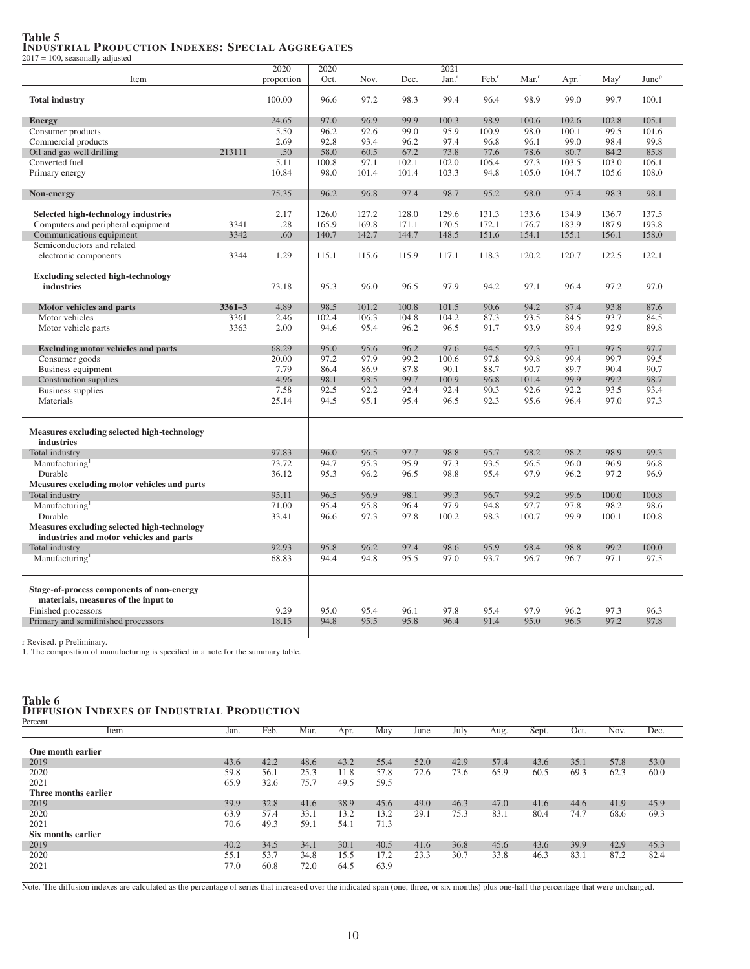#### Table 5 INDUSTRIAL PRODUCTION INDEXES: SPECIAL AGGREGATES 2017 = 100, seasonally adjusted

2020 2020 2021 Item **proportion** Oct. Nov. Dec. Jan.<sup>r</sup> Feb.<sup>r</sup> Mar.<sup>r</sup> Apr.<sup>r</sup> May<sup>r</sup> June<sup>p</sup> **Total industry** 100.10 100.00 1 00.00 1 96.6 97.2 98.3 99.4 96.4 98.9 99.0 99.7 100.1 **Energy** 24.65 97.0 96.9 99.9 100.3 98.9 100.6 102.6 102.8 105.1 Consumer products<br>
Commercial products<br>
Commercial products<br>  $2.69$   $92.8$   $93.4$   $96.2$   $97.4$   $96.8$   $96.8$   $96.1$   $99.0$   $98.4$   $99.8$   $99.8$   $99.8$   $99.8$   $99.8$   $99.8$   $99.8$   $99.8$   $99.8$   $99.8$   $99.8$   $99.8$   $99.8$  Commercial products<br>
2.69 02.8 93.4 96.2 97.4 96.8 96.1 99.0 98.4 99.8<br>
2.13111 5.50 5.8.0 60.5 67.2 73.8 77.6 78.6 80.7 84.2 85.8 Oil and gas well drilling 213111 .50 58.0 60.5 67.2 73.8 77.6 78.6 80.7 84.2 85.8<br>Converted fuel 5.11 100.8 97.1 102.1 102.0 106.4 97.3 103.5 103.0 106.1 Converted fuel 5.11 100.8 97.1 102.1 102.0 106.4 97.3 103.5 103.0 106.1 Primary energy 10.84 10.84 98.0 101.4 101.4 103.3 94.8 105.0 104.7 105.6 108.0 Non-energy 75.35 96.2 96.8 97.4 98.7 95.2 98.0 97.4 98.3 98.1 Selected high-technology industries 2.17 126.0 127.2 128.0 129.6 131.3 133.6 134.9 136.7 137.5 Computers and peripheral equipment 3341 28 165.9 169.8 171.1 170.5 172.1 176.7 183.9 187.9 193.8<br>
Communications equipment 3342 60 140.7 142.7 144.7 148.5 151.6 154.1 155.1 156.1 158.0 Communications equipment Semiconductors and related electronic components 3344 1.29 115.1 115.6 115.9 117.1 118.3 120.2 120.7 122.5 122.1 Excluding selected high-technology **industries** 73.18 | 95.3 96.0 96.5 97.9 94.2 97.1 96.4 97.2 97.0 Motor vehicles and parts 3361–3 4.89 98.5 101.2 100.8 101.5 90.6 94.2 87.4 93.8 87.6 Motor vehicles 3361 2.46 102.4 106.3 104.8 104.2 87.3 93.5 84.5 93.7 84.5 Motor vehicle parts **3363** 3363 2.00 94.6 95.4 96.2 96.5 91.7 93.9 89.4 92.9 89.8 Excluding motor vehicles and parts 68.29 95.0 95.6 96.2 97.6 94.5 97.3 97.1 97.5 97.7<br>Consumer goods 20.00 97.2 97.9 99.2 100.6 97.8 99.8 99.4 99.7 99.5 Consumer goods 20.00 97.2 97.9 99.2 100.6 97.8 99.8 99.4 99.7 99.5 Business equipment 7.79 86.4 86.9 87.8 90.1 88.7 90.7 89.7 90.4 90.7 Construction supplies **1.96** 98.1 98.5 99.7 100.9 96.8 101.4 99.9 99.2 98.7<br>
Business supplies 7.58 92.5 92.2 92.4 92.4 90.3 92.6 92.2 93.5 93.4 Business supplies<br>
Materials Materials 198.5 92.14 94.5 95.1 95.4 96.5 92.3 92.6 92.2 93.5 93.4<br>
Materials 194.5 95.1 95.4 96.5 92.3 95.6 96.4 97.0 97.3 Materials 25.14 94.5 95.1 95.4 96.5 92.3 95.6 96.4 97.0 97.3 Measures excluding selected high-technology industries<br>Total industry Total industry 97.83 96.0 96.5 97.7 98.8 95.7 98.2 98.2 98.9 99.3 Manufacturing<br>Durable 73.72 94.7 95.3 95.9 97.3 93.5 96.5 96.0 96.9 96.8 Durable 36.12 95.3 96.2 96.5 98.8 95.4 97.9 96.2 97.2 96.9 Measures excluding motor vehicles and parts Total industry 95.11 96.5 96.9 98.1 99.3 96.7 99.2 99.6 100.0 100.8 Manufacturing<br>Durable 71.00 95.4 95.8 96.4 97.9 94.8 97.7 97.8 98.2 98.6 Durable 33.41 96.6 97.3 97.8 100.2 98.3 100.7 99.9 100.1 100.8 Measures excluding selected high-technology industries and motor vehicles and parts Total industry 92.93 95.8 96.2 97.4 98.6 95.9 98.4 98.8 99.2 100.0 Manufacturing<sup>1</sup> 68.83 94.4 94.8 95.5 97.0 93.7 96.7 96.7 97.1 97.5 Stage-of-process components of non-energy materials, measures of the input to Finished processors<br>
Primary and semifinished processors<br>
18.15 94.8 95.5 95.8 96.4 91.4 95.0 96.5 97.2 97.8 Primary and semifinished processors 18.15 94.8 95.5 95.8 96.4 91.4 95.0 96.5 97.2

r Revised. p Preliminary.

1. The composition of manufacturing is specified in a note for the summary table.

#### Table 6 DIFFUSION INDEXES OF INDUSTRIAL PRODUCTION

| Jan. | Feb. | Mar. | Apr. | May  | June | July | Aug. | Sept. | Oct. | Nov. | Dec. |
|------|------|------|------|------|------|------|------|-------|------|------|------|
|      |      |      |      |      |      |      |      |       |      |      |      |
|      |      |      |      |      |      |      |      |       |      |      |      |
| 43.6 | 42.2 | 48.6 | 43.2 | 55.4 | 52.0 | 42.9 | 57.4 | 43.6  | 35.1 | 57.8 | 53.0 |
| 59.8 | 56.1 | 25.3 | 11.8 | 57.8 | 72.6 | 73.6 | 65.9 | 60.5  | 69.3 | 62.3 | 60.0 |
| 65.9 | 32.6 | 75.7 | 49.5 | 59.5 |      |      |      |       |      |      |      |
|      |      |      |      |      |      |      |      |       |      |      |      |
| 39.9 | 32.8 | 41.6 | 38.9 | 45.6 | 49.0 | 46.3 | 47.0 | 41.6  | 44.6 | 41.9 | 45.9 |
| 63.9 | 57.4 | 33.1 | 13.2 | 13.2 | 29.1 | 75.3 | 83.1 | 80.4  | 74.7 | 68.6 | 69.3 |
| 70.6 | 49.3 | 59.1 | 54.1 | 71.3 |      |      |      |       |      |      |      |
|      |      |      |      |      |      |      |      |       |      |      |      |
| 40.2 | 34.5 | 34.1 | 30.1 | 40.5 | 41.6 | 36.8 | 45.6 | 43.6  | 39.9 | 42.9 | 45.3 |
| 55.1 | 53.7 | 34.8 | 15.5 | 17.2 | 23.3 | 30.7 | 33.8 | 46.3  | 83.1 | 87.2 | 82.4 |
| 77.0 | 60.8 | 72.0 | 64.5 | 63.9 |      |      |      |       |      |      |      |
|      |      |      |      |      |      |      |      |       |      |      |      |

Note. The diffusion indexes are calculated as the percentage of series that increased over the indicated span (one, three, or six months) plus one-half the percentage that were unchanged.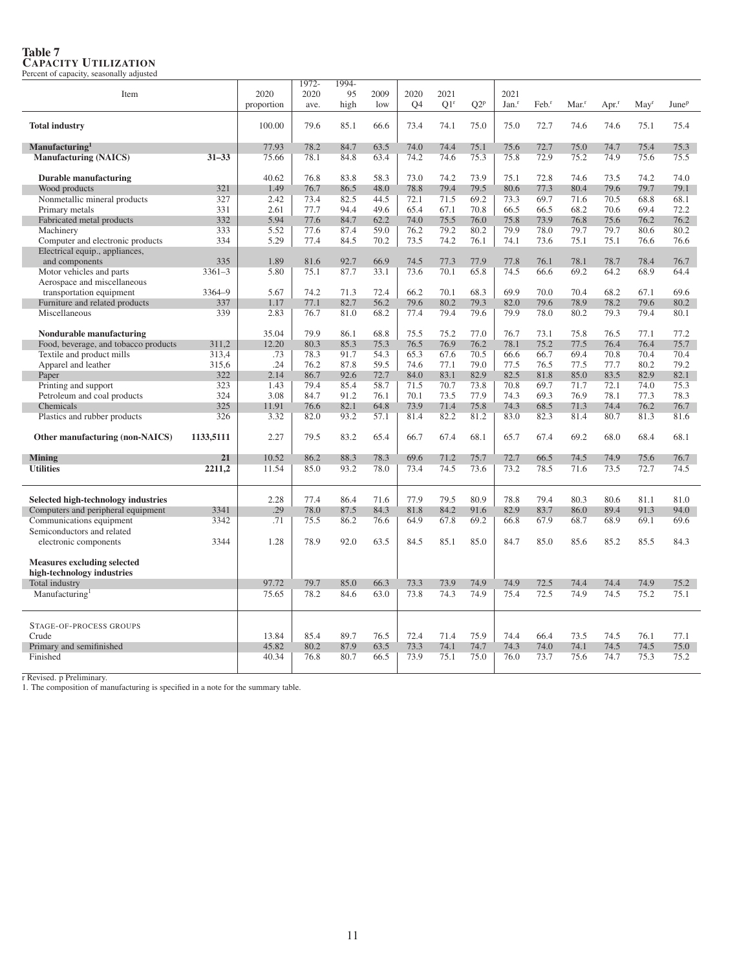| Item                                                             |            | 2020         | 1972-<br>2020 | 1994-<br>95  | 2009         | 2020         | 2021            |              | 2021              |                   |                   |                     |                     |                   |
|------------------------------------------------------------------|------------|--------------|---------------|--------------|--------------|--------------|-----------------|--------------|-------------------|-------------------|-------------------|---------------------|---------------------|-------------------|
|                                                                  |            | proportion   | ave.          | high         | low          | <b>O4</b>    | O1 <sup>r</sup> | $Q2^p$       | Jan. <sup>r</sup> | Feb. <sup>r</sup> | Mar. <sup>r</sup> | $Apr.$ <sup>r</sup> | $M$ ay <sup>r</sup> | June <sup>p</sup> |
|                                                                  |            |              |               |              |              |              |                 |              |                   |                   |                   |                     |                     |                   |
| <b>Total industry</b>                                            |            | 100.00       | 79.6          | 85.1         | 66.6         | 73.4         | 74.1            | 75.0         | 75.0              | 72.7              | 74.6              | 74.6                | 75.1                | 75.4              |
| Manufacturing <sup>1</sup>                                       |            | 77.93        | 78.2          | 84.7         | 63.5         | 74.0         | 74.4            | 75.1         | 75.6              | 72.7              | 75.0              | 74.7                | 75.4                | 75.3              |
| <b>Manufacturing (NAICS)</b>                                     | $31 - 33$  | 75.66        | 78.1          | 84.8         | 63.4         | 74.2         | 74.6            | 75.3         | 75.8              | 72.9              | 75.2              | 74.9                | 75.6                | 75.5              |
|                                                                  |            |              |               |              |              |              |                 |              |                   |                   |                   |                     |                     |                   |
| <b>Durable manufacturing</b>                                     |            | 40.62        | 76.8          | 83.8         | 58.3         | 73.0         | 74.2            | 73.9         | 75.1              | 72.8              | 74.6              | 73.5                | 74.2                | 74.0              |
| Wood products                                                    | 321        | 1.49         | 76.7          | 86.5         | 48.0         | 78.8         | 79.4            | 79.5         | 80.6              | 77.3              | 80.4              | 79.6                | 79.7                | 79.1              |
| Nonmetallic mineral products<br>Primary metals                   | 327<br>331 | 2.42<br>2.61 | 73.4<br>77.7  | 82.5<br>94.4 | 44.5<br>49.6 | 72.1<br>65.4 | 71.5<br>67.1    | 69.2<br>70.8 | 73.3<br>66.5      | 69.7<br>66.5      | 71.6<br>68.2      | 70.5<br>70.6        | 68.8<br>69.4        | 68.1<br>72.2      |
| Fabricated metal products                                        | 332        | 5.94         | 77.6          | 84.7         | 62.2         | 74.0         | 75.5            | 76.0         | 75.8              | 73.9              | 76.8              | 75.6                | 76.2                | 76.2              |
| Machinery                                                        | 333        | 5.52         | 77.6          | 87.4         | 59.0         | 76.2         | 79.2            | 80.2         | 79.9              | 78.0              | 79.7              | 79.7                | 80.6                | 80.2              |
| Computer and electronic products                                 | 334        | 5.29         | 77.4          | 84.5         | 70.2         | 73.5         | 74.2            | 76.1         | 74.1              | 73.6              | 75.1              | 75.1                | 76.6                | 76.6              |
| Electrical equip., appliances,                                   |            |              |               |              |              |              |                 |              |                   |                   |                   |                     |                     |                   |
| and components                                                   | 335        | 1.89         | 81.6          | 92.7         | 66.9         | 74.5         | 77.3            | 77.9         | 77.8              | 76.1              | 78.1              | 78.7                | 78.4                | 76.7              |
| Motor vehicles and parts                                         | $3361 - 3$ | 5.80         | 75.1          | 87.7         | 33.1         | 73.6         | 70.1            | 65.8         | 74.5              | 66.6              | 69.2              | 64.2                | 68.9                | 64.4              |
| Aerospace and miscellaneous                                      |            |              |               |              |              |              |                 |              |                   |                   |                   |                     |                     |                   |
| transportation equipment                                         | 3364-9     | 5.67         | 74.2          | 71.3         | 72.4         | 66.2         | 70.1            | 68.3         | 69.9              | 70.0              | 70.4              | 68.2                | 67.1                | 69.6              |
| Furniture and related products                                   | 337        | 1.17         | 77.1          | 82.7         | 56.2         | 79.6         | 80.2            | 79.3         | 82.0              | 79.6              | 78.9              | 78.2                | 79.6                | 80.2              |
| Miscellaneous                                                    | 339        | 2.83         | 76.7          | 81.0         | 68.2         | 77.4         | 79.4            | 79.6         | 79.9              | 78.0              | 80.2              | 79.3                | 79.4                | 80.1              |
|                                                                  |            |              |               |              |              |              |                 |              |                   |                   |                   |                     |                     |                   |
| Nondurable manufacturing                                         |            | 35.04        | 79.9          | 86.1         | 68.8         | 75.5         | 75.2            | 77.0         | 76.7              | 73.1              | 75.8              | 76.5                | 77.1                | 77.2              |
| Food, beverage, and tobacco products                             | 311,2      | 12.20        | 80.3          | 85.3         | 75.3         | 76.5         | 76.9            | 76.2         | 78.1              | 75.2              | 77.5              | 76.4                | 76.4                | 75.7              |
| Textile and product mills                                        | 313,4      | .73          | 78.3          | 91.7         | 54.3         | 65.3         | 67.6            | 70.5         | 66.6              | 66.7              | 69.4              | 70.8                | 70.4                | 70.4              |
| Apparel and leather                                              | 315,6      | .24          | 76.2          | 87.8         | 59.5         | 74.6         | 77.1            | 79.0         | 77.5              | 76.5              | 77.5              | 77.7                | 80.2                | 79.2              |
| Paper<br>Printing and support                                    | 322<br>323 | 2.14<br>1.43 | 86.7<br>79.4  | 92.6<br>85.4 | 72.7<br>58.7 | 84.0<br>71.5 | 83.1<br>70.7    | 82.9<br>73.8 | 82.5<br>70.8      | 81.8<br>69.7      | 85.0<br>71.7      | 83.5<br>72.1        | 82.9<br>74.0        | 82.1<br>75.3      |
| Petroleum and coal products                                      | 324        | 3.08         | 84.7          | 91.2         | 76.1         | 70.1         | 73.5            | 77.9         | 74.3              | 69.3              | 76.9              | 78.1                | 77.3                | 78.3              |
| Chemicals                                                        | 325        | 11.91        | 76.6          | 82.1         | 64.8         | 73.9         | 71.4            | 75.8         | 74.3              | 68.5              | 71.3              | 74.4                | 76.2                | 76.7              |
| Plastics and rubber products                                     | 326        | 3.32         | 82.0          | 93.2         | 57.1         | 81.4         | 82.2            | 81.2         | 83.0              | 82.3              | 81.4              | 80.7                | 81.3                | 81.6              |
|                                                                  |            |              |               |              |              |              |                 |              |                   |                   |                   |                     |                     |                   |
| Other manufacturing (non-NAICS)                                  | 1133.5111  | 2.27         | 79.5          | 83.2         | 65.4         | 66.7         | 67.4            | 68.1         | 65.7              | 67.4              | 69.2              | 68.0                | 68.4                | 68.1              |
| <b>Mining</b>                                                    | 21         | 10.52        | 86.2          | 88.3         | 78.3         | 69.6         | 71.2            | 75.7         | 72.7              | 66.5              | 74.5              | 74.9                | 75.6                | 76.7              |
| <b>Utilities</b>                                                 | 2211,2     | 11.54        | 85.0          | 93.2         | 78.0         | 73.4         | 74.5            | 73.6         | 73.2              | 78.5              | 71.6              | 73.5                | 72.7                | 74.5              |
|                                                                  |            |              |               |              |              |              |                 |              |                   |                   |                   |                     |                     |                   |
| Selected high-technology industries                              |            | 2.28         | 77.4          | 86.4         | 71.6         | 77.9         | 79.5            | 80.9         | 78.8              | 79.4              | 80.3              | 80.6                | 81.1                | 81.0              |
| Computers and peripheral equipment                               | 3341       | .29          | 78.0          | 87.5         | 84.3         | 81.8         | 84.2            | 91.6         | 82.9              | 83.7              | 86.0              | 89.4                | 91.3                | 94.0              |
| Communications equipment                                         | 3342       | .71          | 75.5          | 86.2         | 76.6         | 64.9         | 67.8            | 69.2         | 66.8              | 67.9              | 68.7              | 68.9                | 69.1                | 69.6              |
| Semiconductors and related                                       |            |              |               |              |              |              |                 |              |                   |                   |                   |                     |                     |                   |
| electronic components                                            | 3344       | 1.28         | 78.9          | 92.0         | 63.5         | 84.5         | 85.1            | 85.0         | 84.7              | 85.0              | 85.6              | 85.2                | 85.5                | 84.3              |
| <b>Measures excluding selected</b><br>high-technology industries |            |              |               |              |              |              |                 |              |                   |                   |                   |                     |                     |                   |
| Total industry                                                   |            | 97.72        | 79.7          | 85.0         | 66.3         | 73.3         | 73.9            | 74.9         | 74.9              | 72.5              | 74.4              | 74.4                | 74.9                | 75.2              |
| Manufacturing <sup>1</sup>                                       |            | 75.65        | 78.2          | 84.6         | 63.0         | 73.8         | 74.3            | 74.9         | 75.4              | 72.5              | 74.9              | 74.5                | 75.2                | 75.1              |
|                                                                  |            |              |               |              |              |              |                 |              |                   |                   |                   |                     |                     |                   |
| STAGE-OF-PROCESS GROUPS                                          |            |              |               |              |              |              |                 |              |                   |                   |                   |                     |                     |                   |
| Crude                                                            |            | 13.84        | 85.4          | 89.7         | 76.5         | 72.4         | 71.4            | 75.9         | 74.4              | 66.4              | 73.5              | 74.5                | 76.1                | 77.1              |
| Primary and semifinished                                         |            | 45.82        | 80.2          | 87.9         | 63.5         | 73.3         | 74.1            | 74.7         | 74.3              | 74.0              | 74.1              | 74.5                | 74.5                | 75.0              |
| Finished                                                         |            | 40.34        | 76.8          | 80.7         | 66.5         | 73.9         | 75.1            | 75.0         | 76.0              | 73.7              | 75.6              | 74.7                | 75.3                | 75.2              |
|                                                                  |            |              |               |              |              |              |                 |              |                   |                   |                   |                     |                     |                   |
|                                                                  |            |              |               |              |              |              |                 |              |                   |                   |                   |                     |                     |                   |

# Table 7 CAPACITY UTILIZATION Percent of capacity, seasonally adjusted

r Revised. p Preliminary. 1. The composition of manufacturing is specified in a note for the summary table.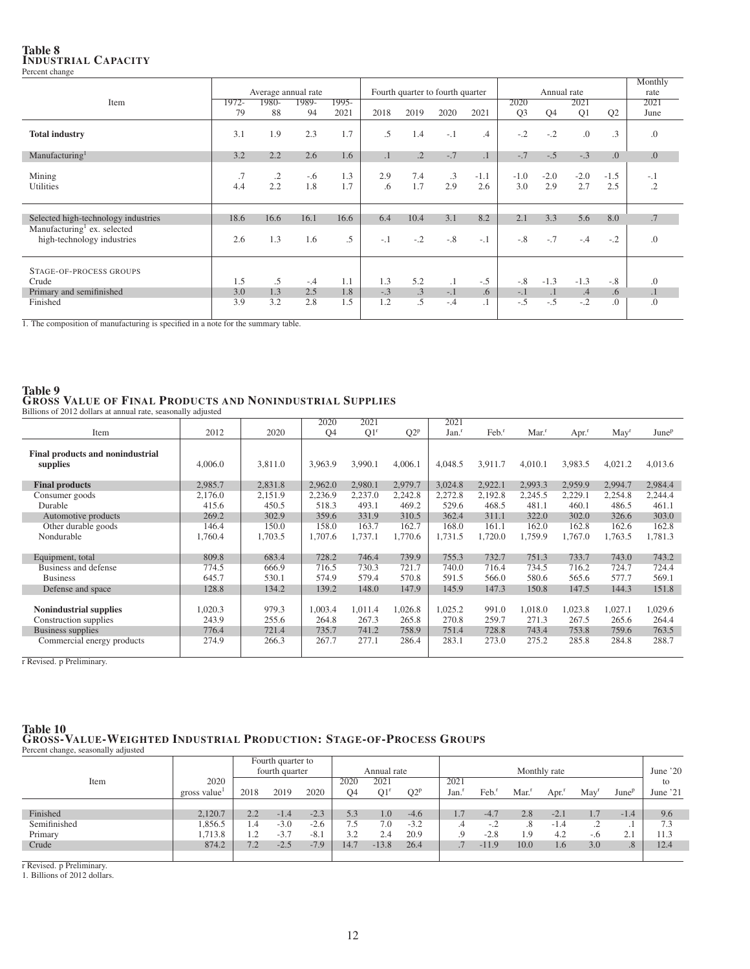### Table 8 INDUSTRIAL CAPACITY Percent change

|                                                                       |           |                     |              |            |           |                 |                                  |               |                |                |               |                  | Monthly     |
|-----------------------------------------------------------------------|-----------|---------------------|--------------|------------|-----------|-----------------|----------------------------------|---------------|----------------|----------------|---------------|------------------|-------------|
|                                                                       |           | Average annual rate |              |            |           |                 | Fourth quarter to fourth quarter |               |                | Annual rate    |               |                  | rate        |
| Item                                                                  | 1972-     | 1980-               | 1989-        | $1995-$    |           |                 |                                  |               | 2020           |                | 2021          |                  | 2021        |
|                                                                       | 79        | 88                  | 94           | 2021       | 2018      | 2019            | 2020                             | 2021          | Q <sub>3</sub> | Q <sub>4</sub> | Q1            | Q2               | June        |
| <b>Total industry</b>                                                 | 3.1       | 1.9                 | 2.3          | 1.7        | .5        | 1.4             | $-.1$                            | .4            | $-.2$          | $-.2$          | 0.            | $\cdot$ 3        | .0          |
| Manufacturing <sup>1</sup>                                            | 3.2       | 2.2                 | 2.6          | 1.6        | $\cdot$ 1 | $\cdot$ 2       | $-.7$                            | $\cdot$ 1     | $-.7$          | $-.5$          | $-.3$         | $\overline{0}$ . | 0.0         |
| Mining<br>Utilities                                                   | .7<br>4.4 | $\cdot$<br>2.2      | $-.6$<br>1.8 | 1.3<br>1.7 | 2.9<br>.6 | 7.4<br>1.7      | $\cdot$ 3<br>2.9                 | $-1.1$<br>2.6 | $-1.0$<br>3.0  | $-2.0$<br>2.9  | $-2.0$<br>2.7 | $-1.5$<br>2.5    | $-.1$<br>.2 |
| Selected high-technology industries                                   | 18.6      | 16.6                | 16.1         | 16.6       | 6.4       | 10.4            | 3.1                              | 8.2           | 2.1            | 3.3            | 5.6           | 8.0              | .7          |
| Manufacturing <sup>1</sup> ex. selected<br>high-technology industries | 2.6       | 1.3                 | 1.6          | $.5\,$     | $-1$      | $-.2$           | $-.8$                            | $-.1$         | $-.8$          | $-.7$          | $-.4$         | $-.2$            | .0          |
| STAGE-OF-PROCESS GROUPS                                               |           |                     |              |            |           |                 |                                  |               |                |                |               |                  |             |
| Crude                                                                 | 1.5       | .5                  | $-.4$        | 1.1        | 1.3       | 5.2             | $\cdot$ 1                        | $-.5$         | $-.8$          | $-1.3$         | $-1.3$        | $-.8$            | .0          |
| Primary and semifinished                                              | 3.0       | 1.3                 | 2.5          | 1.8        | $-.3$     | $.3\phantom{0}$ | $-.1$                            | .6            | $-.1$          | $\cdot$ 1      | .4            | .6               | $\cdot$ 1   |
| Finished                                                              | 3.9       | 3.2                 | 2.8          | 1.5        | 1.2       | .5              | $-.4$                            | $\cdot$ 1     | $-.5$          | $-.5$          | $-.2$         | 0.               | .0          |

1. The composition of manufacturing is specified in a note for the summary table.

## Table 9 GROSS VALUE OF FINAL PRODUCTS AND NONINDUSTRIAL SUPPLIES Billions of 2012 dollars at annual rate, seasonally adjusted

|                                              |         |         | 2020      | 2021            |         | 2021              |                     |                     |                     |                |                          |
|----------------------------------------------|---------|---------|-----------|-----------------|---------|-------------------|---------------------|---------------------|---------------------|----------------|--------------------------|
| Item                                         | 2012    | 2020    | <b>O4</b> | Q1 <sup>r</sup> | $Q2^p$  | Jan. <sup>r</sup> | $Feb.$ <sup>r</sup> | $Mar.$ <sup>r</sup> | $Apr.$ <sup>r</sup> | $\text{May}^r$ | <b>June</b> <sup>p</sup> |
| Final products and nonindustrial<br>supplies | 4,006.0 | 3,811.0 | 3,963.9   | 3,990.1         | 4,006.1 | 4,048.5           | 3,911.7             | 4,010.1             | 3,983.5             | 4,021.2        | 4,013.6                  |
| <b>Final products</b>                        | 2,985.7 | 2,831.8 | 2,962.0   | 2,980.1         | 2,979.7 | 3,024.8           | 2,922.1             | 2,993.3             | 2,959.9             | 2,994.7        | 2,984.4                  |
| Consumer goods                               | 2,176.0 | 2,151.9 | 2,236.9   | 2,237.0         | 2,242.8 | 2,272.8           | 2,192.8             | 2,245.5             | 2,229.1             | 2,254.8        | 2,244.4                  |
| Durable                                      | 415.6   | 450.5   | 518.3     | 493.1           | 469.2   | 529.6             | 468.5               | 481.1               | 460.1               | 486.5          | 461.1                    |
| Automotive products                          | 269.2   | 302.9   | 359.6     | 331.9           | 310.5   | 362.4             | 311.1               | 322.0               | 302.0               | 326.6          | 303.0                    |
| Other durable goods                          | 146.4   | 150.0   | 158.0     | 163.7           | 162.7   | 168.0             | 161.1               | 162.0               | 162.8               | 162.6          | 162.8                    |
| Nondurable                                   | 1,760.4 | 1,703.5 | 1,707.6   | 1,737.1         | 1,770.6 | 1,731.5           | 1,720.0             | 1,759.9             | 1,767.0             | 1,763.5        | 1,781.3                  |
|                                              |         |         |           |                 |         |                   |                     |                     |                     |                |                          |
| Equipment, total                             | 809.8   | 683.4   | 728.2     | 746.4           | 739.9   | 755.3             | 732.7               | 751.3               | 733.7               | 743.0          | 743.2                    |
| Business and defense                         | 774.5   | 666.9   | 716.5     | 730.3           | 721.7   | 740.0             | 716.4               | 734.5               | 716.2               | 724.7          | 724.4                    |
| <b>Business</b>                              | 645.7   | 530.1   | 574.9     | 579.4           | 570.8   | 591.5             | 566.0               | 580.6               | 565.6               | 577.7          | 569.1                    |
| Defense and space                            | 128.8   | 134.2   | 139.2     | 148.0           | 147.9   | 145.9             | 147.3               | 150.8               | 147.5               | 144.3          | 151.8                    |
|                                              |         |         |           |                 |         |                   |                     |                     |                     |                |                          |
| <b>Nonindustrial supplies</b>                | 1,020.3 | 979.3   | 1,003.4   | 1,011.4         | 1,026.8 | 1,025.2           | 991.0               | 1.018.0             | 1,023.8             | 1,027.1        | 1,029.6                  |
| Construction supplies                        | 243.9   | 255.6   | 264.8     | 267.3           | 265.8   | 270.8             | 259.7               | 271.3               | 267.5               | 265.6          | 264.4                    |
| Business supplies                            | 776.4   | 721.4   | 735.7     | 741.2           | 758.9   | 751.4             | 728.8               | 743.4               | 753.8               | 759.6          | 763.5                    |
| Commercial energy products                   | 274.9   | 266.3   | 267.7     | 277.1           | 286.4   | 283.1             | 273.0               | 275.2               | 285.8               | 284.8          | 288.7                    |
|                                              |         |         |           |                 |         |                   |                     |                     |                     |                |                          |

r Revised. p Preliminary.

## Table 10 GROSS-VALUE-WEIGHTED INDUSTRIAL PRODUCTION: STAGE-OF-PROCESS GROUPS Percent change, seasonally adjusted

|              |             |      | Fourth quarter to |        |      |             |        |          |                          |                       |              |                   |                          |           |
|--------------|-------------|------|-------------------|--------|------|-------------|--------|----------|--------------------------|-----------------------|--------------|-------------------|--------------------------|-----------|
|              |             |      | fourth quarter    |        |      | Annual rate |        |          |                          |                       | Monthly rate |                   |                          | June $20$ |
| Item         | 2020        |      |                   |        | 2020 | 2021        |        | 2021     |                          |                       |              |                   |                          | to        |
|              | gross value | 2018 | 2019              | 2020   | O4   | Q1          | $Q2^p$ | Jan.     | Feb.                     | Mar.                  | Apr.'        | May <sup>r</sup>  | <b>June</b> <sup>p</sup> | June '21  |
|              |             |      |                   |        |      |             |        |          |                          |                       |              |                   |                          |           |
| Finished     | 2.120.7     | 2.2  | $-1.4$            | $-2.3$ | 5.3  | 1.0         | $-4.6$ | 1.7      | $-4.7$                   | 2.8                   | $-2.1$       | 1.7               | $-1.4$                   | 9.6       |
| Semifinished | 1.856.5     | 1.4  | $-3.0$            | $-2.6$ | 7.5  | 7.0         | $-3.2$ | .4       | $\overline{\phantom{a}}$ | .8                    | $-1.4$       | $\bigcap$<br>تھ ۔ |                          | 7.3       |
| Primary      | .713.8      | 1.2  | $-3.7$            | $-8.1$ | 32   | 2.4         | 20.9   | $\Omega$ | $-2.8$                   | $\Omega$<br><b>L.</b> | 4.2          | $-.6$             | $\bigcap$ 1<br>z.,       | 11.3      |
| Crude        | 874.2       | 7.2  | $-2.5$            | $-7.9$ | 14.7 | $-13.8$     | 26.4   |          | $-11.9$                  | 10.0                  | 1.6          | 3.0               | .8 <sub>2</sub>          | 12.4      |
|              |             |      |                   |        |      |             |        |          |                          |                       |              |                   |                          |           |

r Revised. p Preliminary. 1. Billions of 2012 dollars.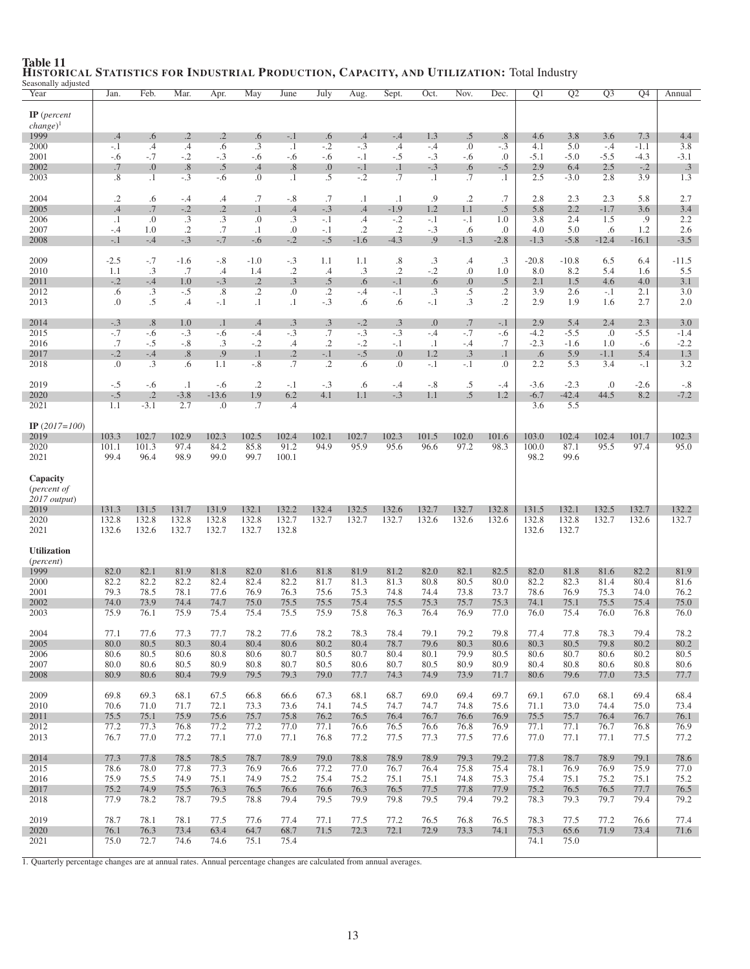| Seasonally adjusted<br>Year                                       | Jan.                 | Feb.                     | Mar.                 | Apr.                    | May                      | June                   | July                     | Aug.           | Sept.                    | Oct.             | Nov.           | Dec.                 | Q1                   | Q <sub>2</sub>       | $\overline{Q3}$ | Q4             | Annual                 |
|-------------------------------------------------------------------|----------------------|--------------------------|----------------------|-------------------------|--------------------------|------------------------|--------------------------|----------------|--------------------------|------------------|----------------|----------------------|----------------------|----------------------|-----------------|----------------|------------------------|
| $IP$ (percent<br>$change)$ <sup>1</sup>                           |                      |                          |                      |                         |                          |                        |                          |                |                          |                  |                |                      |                      |                      |                 |                |                        |
| 1999<br>2000                                                      | .4<br>$-.1$          | .6<br>$\cdot$ 4          | $\cdot$<br>.4        | $\cdot$<br>.6           | .6<br>$\cdot$ 3          | $-.1$<br>$\cdot$ 1     | .6<br>$-.2$              | .4<br>$-.3$    | $-.4$<br>$.4\phantom{0}$ | 1.3<br>$-.4$     | .5<br>$\cdot$  | $.8\,$<br>$-.3$      | 4.6<br>4.1           | 3.8<br>5.0           | 3.6<br>$-.4$    | 7.3<br>$-1.1$  | 4.4<br>3.8             |
| 2001                                                              | $-.6$                | $-.7$                    | $-.2$                | $-.3$                   | $-.6$                    | $-.6$                  | $-.6$                    | $-.1$          | $-.5$                    | $-.3$            | $-.6$          | $\cdot$              | $-5.1$               | $-5.0$               | $-5.5$          | $-4.3$         | $-3.1$                 |
| 2002<br>2003                                                      | .7<br>.8             | 0.<br>$\cdot$            | .8<br>$-.3$          | .5<br>$-.6$             | .4<br>$\cdot$            | .8<br>$\cdot$ 1        | 0.0<br>.5                | $-.1$<br>$-.2$ | $\cdot$ 1<br>.7          | $-.3$<br>$\cdot$ | .6<br>.7       | $-.5$<br>$\cdot$     | 2.9<br>2.5           | 6.4<br>$-3.0$        | 2.5<br>2.8      | $-.2$<br>3.9   | $.3\phantom{0}$<br>1.3 |
| 2004                                                              | $\cdot$ .2           | .6                       | -.4                  | .4                      | .7                       | $-.8$                  | .7                       | $\cdot$ 1      | $\cdot$ 1                | .9               | $\cdot$ .2     | .7                   | 2.8                  | 2.3                  | 2.3             | 5.8            | 2.7                    |
| 2005<br>2006                                                      | .4<br>$\cdot$ 1      | .7<br>.0                 | $-.2$<br>.3          | $\cdot$ .2<br>$\cdot$ 3 | $\cdot$ 1<br>.0          | .4<br>.3               | $-.3$<br>$-.1$           | .4<br>.4       | $-1.9$<br>$-.2$          | 1.2<br>$-.1$     | 1.1<br>$-.1$   | $.5\,$<br>1.0        | 5.8<br>3.8           | 2.2<br>2.4           | $-1.7$<br>1.5   | 3.6<br>.9      | 3.4<br>2.2             |
| 2007                                                              | $-.4$                | 1.0                      | $\cdot$ .2           | .7                      | $\cdot$ 1                | .0                     | $-.1$                    | $\cdot$ .2     | $\cdot$ .2               | $-.3$            | .6             | $\Omega$ .           | 4.0                  | 5.0                  | .6              | 1.2            | 2.6                    |
| 2008<br>2009                                                      | $-.1$<br>$-2.5$      | $-.4$<br>$-.7$           | $-.3$<br>$-1.6$      | $-.7$<br>$-.8$          | $-.6$<br>$-1.0$          | $-.2$<br>$-.3$         | $-.5$<br>1.1             | $-1.6$<br>1.1  | $-4.3$<br>.8             | .9<br>$\cdot$ 3  | $-1.3$<br>.4   | $-2.8$<br>.3         | $-1.3$<br>$-20.8$    | $-5.8$<br>$-10.8$    | $-12.4$<br>6.5  | $-16.1$<br>6.4 | $-3.5$<br>$-11.5$      |
| 2010                                                              | 1.1                  | .3                       | .7                   | $\cdot$ 4               | 1.4                      | $\cdot$ .2             | .4                       | .3             | $\cdot$ .2               | $-.2$            | 0.             | 1.0                  | 8.0                  | 8.2                  | 5.4             | 1.6            | 5.5                    |
| 2011<br>2012                                                      | $-.2$<br>.6          | $-.4$<br>$\cdot$ 3       | 1.0<br>$-.5$         | $-.3$<br>.8             | $\cdot$ .2<br>$\cdot$ .2 | .3<br>$\boldsymbol{0}$ | $.5\,$<br>$\cdot$ .2     | .6<br>$-.4$    | $-.1$<br>$-.1$           | .6<br>.3         | 0.<br>.5       | .5<br>$\cdot$ .2     | 2.1<br>3.9           | 1.5<br>2.6           | 4.6<br>$-.1$    | 4.0<br>2.1     | 3.1<br>3.0             |
| 2013                                                              | 0.                   | .5                       | .4                   | $-.1$                   | $\cdot$ 1                | $\cdot$ 1              | $-.3$                    | .6             | .6                       | $-.1$            | .3             | $\cdot$              | 2.9                  | 1.9                  | 1.6             | 2.7            | 2.0                    |
| 2014<br>2015                                                      | $-.3$<br>$-.7$       | .8<br>$-.6$              | 1.0<br>$-.3$         | $\cdot$ 1<br>$-.6$      | .4<br>$-.4$              | $\cdot$ 3<br>$-.3$     | .3<br>.7                 | $-.2$<br>$-.3$ | .3<br>$-.3$              | 0.<br>$-.4$      | .7<br>$-.7$    | $-.1$<br>-.6         | 2.9<br>$-4.2$        | 5.4<br>$-5.5$        | 2.4<br>.0       | 2.3<br>$-5.5$  | 3.0<br>$-1.4$          |
| 2016                                                              | .7                   | $-.5$                    | $-.8$                | $\cdot$ 3               | $-.2$                    | .4                     | $\cdot$ .2               | $-.2$          | $-.1$                    | $\cdot$          | $-.4$          | .7                   | $-2.3$               | $-1.6$               | 1.0             | -.6            | $-2.2$                 |
| 2017<br>2018                                                      | $-.2$<br>0.          | $-.4$<br>$\overline{.3}$ | .8<br>.6             | .9<br>1.1               | $\cdot$ 1<br>$-.8$       | $\cdot$ .2<br>.7       | $-.1$<br>$\overline{.2}$ | $-.5$<br>.6    | $\Omega$ .<br>$\Omega$ . | 1.2<br>$-.1$     | .3<br>$-.1$    | $\cdot$ 1<br>$\cdot$ | .6<br>2.2            | 5.9<br>5.3           | $-1.1$<br>3.4   | 5.4<br>$-.1$   | 1.3<br>3.2             |
| 2019                                                              | $-.5$                | $-.6$                    | $\cdot$ 1            | $-.6$                   | $\cdot$ .2               | $-.1$                  | $-.3$                    | .6             | $-.4$                    | $-.8$            | $.5\,$         | $-.4$                | $-3.6$               | $-2.3$               | .0              | $-2.6$         | $-.8$                  |
| 2020                                                              | $-.5$                | $\cdot$ .2               | $-3.8$               | $-13.6$                 | 1.9                      | 6.2                    | 4.1                      | 1.1            | $-.3$                    | 1.1              | .5             | 1.2                  | $-6.7$               | $-42.4$              | 44.5            | 8.2            | $-7.2$                 |
| 2021                                                              | 1.1                  | $-3.1$                   | 2.7                  | 0.0                     | .7                       | .4                     |                          |                |                          |                  |                |                      | 3.6                  | 5.5                  |                 |                |                        |
| IP $(2017=100)$<br>2019                                           | 103.3                | 102.7                    | 102.9                | 102.3                   | 102.5                    | 102.4                  | 102.1                    | 102.7          | 102.3                    | 101.5            | 102.0          | 101.6                | 103.0                | 102.4                | 102.4           | 101.7          | 102.3                  |
| 2020<br>2021                                                      | 101.1<br>99.4        | 101.3<br>96.4            | 97.4<br>98.9         | 84.2<br>99.0            | 85.8<br>99.7             | 91.2<br>100.1          | 94.9                     | 95.9           | 95.6                     | 96.6             | 97.2           | 98.3                 | 100.0<br>98.2        | 87.1<br>99.6         | 95.5            | 97.4           | 95.0                   |
| Capacity<br>( <i>percent of</i><br>$2017$ output)<br>2019<br>2020 | 131.3<br>132.8       | 131.5<br>132.8           | 131.7<br>132.8       | 131.9<br>132.8          | 132.1<br>132.8           | 132.2<br>132.7         | 132.4<br>132.7           | 132.5<br>132.7 | 132.6<br>132.7           | 132.7<br>132.6   | 132.7<br>132.6 | 132.8<br>132.6       | 131.5<br>132.8       | 132.1<br>132.8       | 132.5<br>132.7  | 132.7<br>132.6 | 132.2<br>132.7         |
| 2021                                                              | 132.6                | 132.6                    | 132.7                | 132.7                   | 132.7                    | 132.8                  |                          |                |                          |                  |                |                      | 132.6                | 132.7                |                 |                |                        |
| <b>Utilization</b><br>(percent)                                   |                      |                          |                      |                         |                          |                        |                          |                |                          |                  |                |                      |                      |                      |                 |                |                        |
| 1999                                                              | 82.0                 | 82.1                     | 81.9                 | 81.8                    | 82.0                     | 81.6                   | 81.8                     | 81.9           | 81.2                     | 82.0             | 82.1           | 82.5                 | 82.0                 | 81.8                 | 81.6            | 82.2           | 81.9                   |
| 2000<br>2001                                                      | 82.2<br>79.3         | 82.2<br>78.5             | 82.2<br>78.1         | 82.4<br>77.6            | 82.4<br>76.9             | 82.2<br>76.3           | 81.7<br>75.6             | 81.3<br>75.3   | 81.3<br>74.8             | 80.8<br>74.4     | 80.5<br>73.8   | 80.0<br>73.7         | 82.2<br>78.6         | 82.3<br>76.9         | 81.4<br>75.3    | 80.4<br>74.0   | 81.6<br>76.2           |
| 2002                                                              | 74.0                 | 73.9                     | 74.4                 | 74.7                    | 75.0                     | 75.5                   | 75.5                     | 75.4           | 75.5                     | 75.3             | 75.7           | 75.3                 | 74.1                 | 75.1                 | 75.5            | 75.4           | 75.0                   |
| 2003                                                              | 75.9                 | 76.1                     | 75.9                 | 75.4                    | 75.4                     | 75.5                   | 75.9                     | 75.8           | 76.3                     | 76.4             | 76.9           | 77.0                 | 76.0                 | 75.4                 | 76.0            | 76.8           | 76.0                   |
| 2004<br>2005                                                      | 77.1<br>80.0         | 77.6<br>80.5             | 77.3<br>80.3         | 77.7<br>80.4            | 78.2<br>80.4             | 77.6<br>80.6           | 78.2<br>80.2             | 78.3<br>80.4   | 78.4<br>78.7             | 79.1<br>79.6     | 79.2<br>80.3   | 79.8<br>80.6         | 77.4<br>80.3         | 77.8<br>80.5         | 78.3<br>79.8    | 79.4<br>80.2   | 78.2<br>80.2           |
| 2006                                                              | 80.6                 | 80.5                     | 80.6                 | 80.8                    | 80.6                     | 80.7                   | 80.5                     | 80.7           | 80.4                     | 80.1             | 79.9           | 80.5                 | 80.6                 | 80.7                 | 80.6            | 80.2           | 80.5                   |
| 2007<br>2008                                                      | 80.0<br>80.9         | 80.6<br>80.6             | 80.5<br>80.4         | 80.9<br>79.9            | 80.8<br>79.5             | 80.7<br>79.3           | 80.5<br>79.0             | 80.6<br>77.7   | 80.7<br>74.3             | 80.5<br>74.9     | 80.9<br>73.9   | 80.9<br>71.7         | 80.4<br>80.6         | 80.8<br>79.6         | 80.6<br>77.0    | 80.8<br>73.5   | 80.6<br>77.7           |
| 2009                                                              | 69.8                 | 69.3                     | 68.1                 | 67.5                    | 66.8                     | 66.6                   | 67.3                     | 68.1           | 68.7                     | 69.0             | 69.4           | 69.7                 | 69.1                 | 67.0                 | 68.1            | 69.4           | 68.4                   |
| 2010                                                              | 70.6                 | 71.0                     | 71.7                 | 72.1                    | 73.3                     | 73.6                   | 74.1                     | 74.5           | 74.7                     | 74.7             | 74.8           | 75.6                 | 71.1                 | 73.0                 | 74.4            | 75.0           | 73.4                   |
| 2011<br>2012                                                      | 75.5<br>77.2         | 75.1<br>77.3             | 75.9<br>76.8         | 75.6<br>77.2            | 75.7<br>77.2             | 75.8<br>77.0           | 76.2<br>77.1             | 76.5<br>76.6   | 76.4<br>76.5             | 76.7<br>76.6     | 76.6<br>76.8   | 76.9<br>76.9         | 75.5<br>77.1         | 75.7<br>77.1         | 76.4<br>76.7    | 76.7<br>76.8   | 76.1<br>76.9           |
| 2013                                                              | 76.7                 | 77.0                     | 77.2                 | 77.1                    | 77.0                     | 77.1                   | 76.8                     | 77.2           | 77.5                     | 77.3             | 77.5           | 77.6                 | 77.0                 | 77.1                 | 77.1            | 77.5           | 77.2                   |
| 2014                                                              | 77.3                 | 77.8                     | 78.5                 | 78.5                    | 78.7                     | 78.9                   | 79.0                     | 78.8           | 78.9                     | 78.9             | 79.3           | 79.2                 | 77.8                 | 78.7                 | 78.9            | 79.1           | 78.6                   |
| 2015<br>2016                                                      | 78.6<br>75.9         | 78.0<br>75.5             | 77.8<br>74.9         | 77.3<br>75.1            | 76.9<br>74.9             | 76.6<br>75.2           | 77.2<br>75.4             | 77.0<br>75.2   | 76.7<br>75.1             | 76.4<br>75.1     | 75.8<br>74.8   | 75.4<br>75.3         | 78.1<br>75.4         | 76.9<br>75.1         | 76.9<br>75.2    | 75.9<br>75.1   | 77.0<br>75.2           |
| 2017                                                              | 75.2                 | 74.9                     | 75.5                 | 76.3                    | 76.5                     | 76.6                   | 76.6                     | 76.3           | 76.5                     | 77.5             | 77.8           | 77.9                 | 75.2                 | 76.5                 | 76.5            | 77.7           | 76.5                   |
| 2018                                                              | 77.9                 | 78.2                     | 78.7                 | 79.5                    | 78.8                     | 79.4                   | 79.5                     | 79.9           | 79.8                     | 79.5             | 79.4           | 79.2                 | 78.3                 | 79.3                 | 79.7            | 79.4           | 79.2                   |
| 2019<br>2020<br>2021                                              | 78.7<br>76.1<br>75.0 | 78.1<br>76.3<br>72.7     | 78.1<br>73.4<br>74.6 | 77.5<br>63.4<br>74.6    | 77.6<br>64.7<br>75.1     | 77.4<br>68.7<br>75.4   | 77.1<br>71.5             | 77.5<br>72.3   | 77.2<br>72.1             | 76.5<br>72.9     | 76.8<br>73.3   | 76.5<br>74.1         | 78.3<br>75.3<br>74.1 | 77.5<br>65.6<br>75.0 | 77.2<br>71.9    | 76.6<br>73.4   | 77.4<br>71.6           |

## Table 11 HISTORICAL STATISTICS FOR INDUSTRIAL PRODUCTION, CAPACITY, AND UTILIZATION: Total Industry Seasonally adjusted

1. Quarterly percentage changes are at annual rates. Annual percentage changes are calculated from annual averages.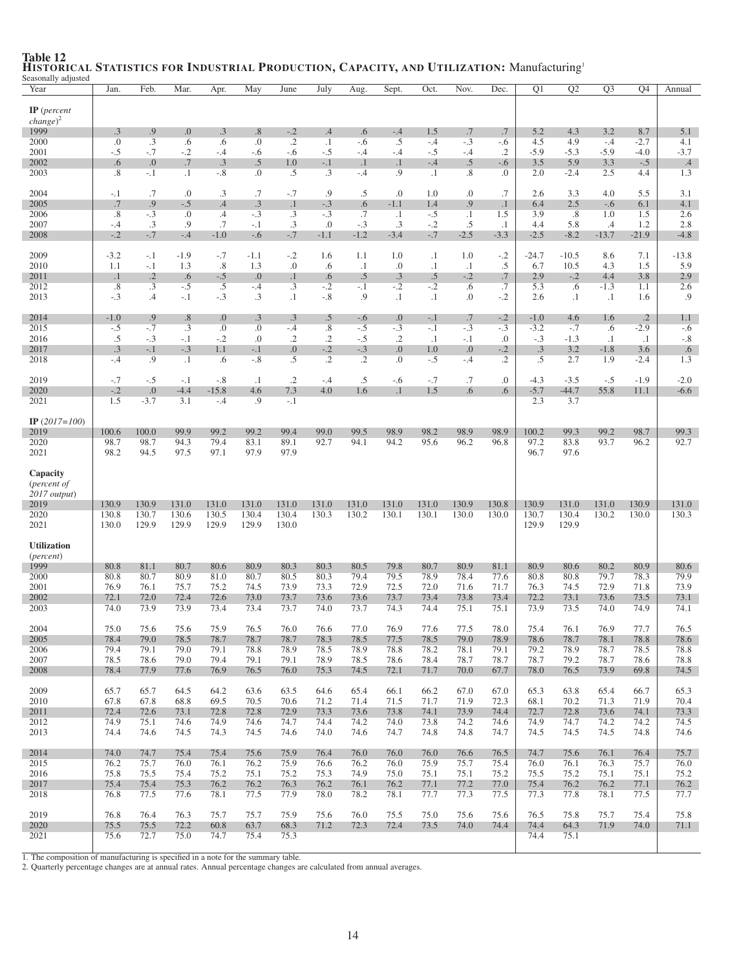| Seasonally adjusted<br>Year | Jan.             | Feb.                | Mar.               | Apr.         | May            | June               | July                | Aug.                | Sept.            | Oct.           | Nov.               | Dec.                | Q1            | Q2            | Q <sub>3</sub> | O4             | Annual        |
|-----------------------------|------------------|---------------------|--------------------|--------------|----------------|--------------------|---------------------|---------------------|------------------|----------------|--------------------|---------------------|---------------|---------------|----------------|----------------|---------------|
|                             |                  |                     |                    |              |                |                    |                     |                     |                  |                |                    |                     |               |               |                |                |               |
| $IP$ (percent               |                  |                     |                    |              |                |                    |                     |                     |                  |                |                    |                     |               |               |                |                |               |
| $change)^2$<br>1999         | .3               | .9                  | 0.                 | $\cdot$ 3    | .8             | $-.2$              | .4                  | .6                  | $-.4$            | 1.5            | .7                 | .7                  | 5.2           | 4.3           | 3.2            | 8.7            | 5.1           |
| 2000                        | $\cdot$          | .3                  | .6                 | .6           | .0             | $\cdot$ .2         | $\cdot$ 1           | $-.6$               | .5               | $-.4$          | $-.3$              | -.6                 | 4.5           | 4.9           | $-.4$          | $-2.7$         | 4.1           |
| 2001                        | $-.5$            | $-.7$               | $-.2$              | $-.4$        | $-.6$          | $-.6$              | $-.5$               | $-.4$               | $-.4$            | $-.5$          | $-.4$              | .2                  | $-5.9$        | $-5.3$        | $-5.9$         | $-4.0$         | $-3.7$        |
| 2002                        | .6               | .0                  | .7                 | .3           | .5             | 1.0                | $-.1$               | $\cdot$ 1           | $\cdot$ 1        | $-.4$          | .5                 | $-.6$               | 3.5           | 5.9           | 3.3            | $-.5$          | .4            |
| 2003                        | $\cdot$ 8        | $-.1$               | $\cdot$            | $-8$         | $\cdot$        | .5                 | $\cdot$ 3           | $-.4$               | .9               | $\cdot$        | .8                 | .0                  | 2.0           | $-2.4$        | 2.5            | 4.4            | 1.3           |
| 2004                        | $-.1$            | .7                  | .0                 | .3           | .7             | $-.7$              | .9                  | .5                  | .0               | 1.0            | .0                 | .7                  | 2.6           | 3.3           | 4.0            | 5.5            | 3.1           |
| 2005                        | .7               | .9                  | $-.5$              | .4           | .3             | $\cdot$            | $-.3$               | .6                  | $-1.1$           | 1.4            | .9                 | $\cdot$ 1           | 6.4           | 2.5           | $-.6$          | 6.1            | 4.1           |
| 2006                        | .8               | $-.3$               | .0                 | .4           | $-.3$          | $\cdot$ 3          | $-.3$               | .7                  | $\cdot$ 1        | $-.5$          | $\cdot$ 1          | 1.5                 | 3.9           | .8            | 1.0            | 1.5            | 2.6           |
| 2007<br>2008                | $-.4$<br>$-.2$   | .3<br>$-.7$         | .9<br>$-.4$        | .7<br>$-1.0$ | $-.1$<br>$-.6$ | $\cdot$ 3<br>$-.7$ | .0<br>$-1.1$        | $-.3$<br>$-1.2$     | .3<br>$-3.4$     | $-.2$<br>$-.7$ | .5<br>$-2.5$       | $\cdot$<br>$-3.3$   | 4.4<br>$-2.5$ | 5.8<br>$-8.2$ | .4<br>$-13.7$  | 1.2<br>$-21.9$ | 2.8<br>$-4.8$ |
|                             |                  |                     |                    |              |                |                    |                     |                     |                  |                |                    |                     |               |               |                |                |               |
| 2009                        | $-3.2$           | $-.1$               | $-1.9$             | $-.7$        | $-1.1$         | $-.2$              | 1.6                 | 1.1                 | 1.0              | $\cdot$        | 1.0                | $-.2$               | $-24.7$       | $-10.5$       | 8.6            | 7.1            | $-13.8$       |
| 2010<br>2011                | 1.1<br>$\cdot$ 1 | $-.1$<br>$\cdot$ .2 | 1.3<br>.6          | .8<br>$-.5$  | 1.3<br>0.      | .0<br>$\cdot$ 1    | .6<br>.6            | $\cdot$ 1<br>.5     | .0<br>.3         | $\cdot$<br>.5  | $\cdot$ 1<br>$-.2$ | .5<br>.7            | 6.7<br>2.9    | 10.5<br>$-.2$ | 4.3<br>4.4     | 1.5<br>3.8     | 5.9<br>2.9    |
| 2012                        | .8               | .3                  | $-.5$              | .5           | $-.4$          | .3                 | $-.2$               | $-.1$               | $-.2$            | $-.2$          | .6                 | .7                  | 5.3           | .6            | $-1.3$         | 1.1            | 2.6           |
| 2013                        | $-.3$            | .4                  | $-.1$              | $-.3$        | .3             | $\cdot$ 1          | $-.8$               | .9                  | $\cdot$ 1        | $\cdot$ 1      | $\cdot$            | $-.2$               | 2.6           | $\cdot$       | $\cdot$ 1      | 1.6            | .9            |
| 2014                        | $-1.0$           | .9                  | .8                 | 0.           | .3             | $\cdot$ 3          | .5                  | $-.6$               | .0               | $-.1$          | .7                 | $-.2$               | $-1.0$        | 4.6           | 1.6            | $\cdot$ .2     | 1.1           |
| 2015                        | $-.5$            | $-.7$               | $\cdot$ 3          | 0.           | $\cdot$        | $-.4$              | .8                  | $-.5$               | $-.3$            | $-.1$          | $-.3$              | $-.3$               | $-3.2$        | $-.7$         | .6             | $-2.9$         | $-.6$         |
| 2016                        | .5               | $-.3$               | $-.1$              | $-.2$        | .0             | .2                 | $\cdot$ .2          | $-.5$               | $\cdot$ .2       | $\cdot$ 1      | $-.1$              | 0.                  | $-.3$         | $-1.3$        | $\cdot$ 1      | $\cdot$        | $-.8$         |
| 2017                        | .3               | $-.1$<br>.9         | $-.3$<br>$\cdot$ 1 | 1.1<br>.6    | $-.1$<br>$-.8$ | 0.<br>.5           | $-.2$<br>$\cdot$ .2 | $-.3$<br>$\cdot$ .2 | 0.<br>$\Omega$ . | 1.0            | 0.<br>$-.4$        | $-.2$<br>$\cdot$ .2 | .3            | 3.2<br>2.7    | $-1.8$         | 3.6            | .6            |
| 2018                        | $-.4$            |                     |                    |              |                |                    |                     |                     |                  | $-.5$          |                    |                     | $.5\,$        |               | 1.9            | $-2.4$         | 1.3           |
| 2019                        | $-.7$            | $-.5$               | $-.1$              | $-.8$        | $\cdot$ 1      | $\cdot$            | $-.4$               | .5                  | $-.6$            | $-.7$          | .7                 | $\cdot$             | $-4.3$        | $-3.5$        | $-.5$          | $-1.9$         | $-2.0$        |
| 2020                        | $-.2$            | .0                  | $-4.4$             | $-15.8$      | 4.6            | 7.3                | 4.0                 | 1.6                 | $\cdot$ 1        | 1.5            | .6                 | .6                  | $-5.7$        | $-44.7$       | 55.8           | 11.1           | $-6.6$        |
| 2021                        | 1.5              | $-3.7$              | 3.1                | $-.4$        | .9             | $-.1$              |                     |                     |                  |                |                    |                     | 2.3           | 3.7           |                |                |               |
| IP $(2017=100)$             |                  |                     |                    |              |                |                    |                     |                     |                  |                |                    |                     |               |               |                |                |               |
| 2019                        | 100.6            | 100.0               | 99.9               | 99.2         | 99.2           | 99.4               | 99.0                | 99.5                | 98.9             | 98.2           | 98.9               | 98.9                | 100.2         | 99.3          | 99.2           | 98.7           | 99.3          |
| 2020<br>2021                | 98.7<br>98.2     | 98.7<br>94.5        | 94.3<br>97.5       | 79.4<br>97.1 | 83.1<br>97.9   | 89.1<br>97.9       | 92.7                | 94.1                | 94.2             | 95.6           | 96.2               | 96.8                | 97.2<br>96.7  | 83.8<br>97.6  | 93.7           | 96.2           | 92.7          |
|                             |                  |                     |                    |              |                |                    |                     |                     |                  |                |                    |                     |               |               |                |                |               |
| Capacity                    |                  |                     |                    |              |                |                    |                     |                     |                  |                |                    |                     |               |               |                |                |               |
| ( <i>percent of</i>         |                  |                     |                    |              |                |                    |                     |                     |                  |                |                    |                     |               |               |                |                |               |
| $2017$ output)<br>2019      | 130.9            | 130.9               | 131.0              | 131.0        | 131.0          | 131.0              | 131.0               | 131.0               | 131.0            | 131.0          | 130.9              | 130.8               | 130.9         | 131.0         | 131.0          | 130.9          | 131.0         |
| 2020                        | 130.8            | 130.7               | 130.6              | 130.5        | 130.4          | 130.4              | 130.3               | 130.2               | 130.1            | 130.1          | 130.0              | 130.0               | 130.7         | 130.4         | 130.2          | 130.0          | 130.3         |
| 2021                        | 130.0            | 129.9               | 129.9              | 129.9        | 129.9          | 130.0              |                     |                     |                  |                |                    |                     | 129.9         | 129.9         |                |                |               |
| <b>Utilization</b>          |                  |                     |                    |              |                |                    |                     |                     |                  |                |                    |                     |               |               |                |                |               |
| ( <i>percent</i> )          |                  |                     |                    |              |                |                    |                     |                     |                  |                |                    |                     |               |               |                |                |               |
| 1999                        | 80.8             | 81.1                | 80.7               | 80.6         | 80.9           | 80.3               | 80.3                | 80.5                | 79.8             | 80.7           | 80.9               | 81.1                | 80.9          | 80.6          | 80.2           | 80.9           | 80.6          |
| 2000<br>2001                | 80.8<br>76.9     | 80.7<br>76.1        | 80.9<br>75.7       | 81.0<br>75.2 | 80.7<br>74.5   | 80.5<br>73.9       | 80.3<br>73.3        | 79.4<br>72.9        | 79.5<br>72.5     | 78.9<br>72.0   | 78.4<br>71.6       | 77.6<br>71.7        | 80.8<br>76.3  | 80.8<br>74.5  | 79.7<br>72.9   | 78.3<br>71.8   | 79.9<br>73.9  |
| 2002                        | 72.1             | 72.0                | 72.4               | 72.6         | 73.0           | 73.7               | 73.6                | 73.6                | 73.7             | 73.4           | 73.8               | 73.4                | 72.2          | 73.1          | 73.6           | 73.5           | 73.1          |
| 2003                        | 74.0             | 73.9                | 73.9               | 73.4         | 73.4           | 73.7               | 74.0                | 73.7                | 74.3             | 74.4           | 75.1               | 75.1                | 73.9          | 73.5          | 74.0           | 74.9           | 74.1          |
| 2004                        | 75.0             | 75.6                | 75.6               | 75.9         | 76.5           | 76.0               | 76.6                | 77.0                | 76.9             | 77.6           | 77.5               | $78.0\,$            | 75.4          | 76.1          | 76.9           | 77.7           | 76.5          |
| 2005                        | 78.4             | 79.0                | 78.5               | 78.7         | 78.7           | 78.7               | 78.3                | 78.5                | 77.5             | 78.5           | 79.0               | 78.9                | 78.6          | 78.7          | 78.1           | 78.8           | 78.6          |
| 2006                        | 79.4             | 79.1                | 79.0               | 79.1         | 78.8           | 78.9               | 78.5                | 78.9                | 78.8             | 78.2           | 78.1               | 79.1                | 79.2          | 78.9          | 78.7           | 78.5           | 78.8          |
| 2007                        | 78.5             | 78.6                | 79.0               | 79.4         | 79.1           | 79.1               | 78.9                | 78.5                | 78.6             | 78.4           | 78.7               | 78.7                | 78.7          | 79.2          | 78.7           | 78.6           | 78.8          |
| 2008                        | 78.4             | 77.9                | 77.6               | 76.9         | 76.5           | 76.0               | 75.3                | 74.5                | 72.1             | 71.7           | 70.0               | 67.7                | 78.0          | 76.5          | 73.9           | 69.8           | 74.5          |
| 2009                        | 65.7             | 65.7                | 64.5               | 64.2         | 63.6           | 63.5               | 64.6                | 65.4                | 66.1             | 66.2           | 67.0               | 67.0                | 65.3          | 63.8          | 65.4           | 66.7           | 65.3          |
| 2010                        | 67.8             | 67.8                | 68.8               | 69.5         | 70.5           | 70.6               | 71.2                | 71.4                | 71.5             | 71.7           | 71.9               | 72.3                | 68.1          | 70.2          | 71.3           | 71.9           | 70.4          |
| 2011<br>2012                | 72.4<br>74.9     | 72.6<br>75.1        | 73.1<br>74.6       | 72.8<br>74.9 | 72.8<br>74.6   | 72.9<br>74.7       | 73.3<br>74.4        | 73.6<br>74.2        | 73.8<br>74.0     | 74.1<br>73.8   | 73.9<br>74.2       | 74.4<br>74.6        | 72.7<br>74.9  | 72.8<br>74.7  | 73.6<br>74.2   | 74.1<br>74.2   | 73.3<br>74.5  |
| 2013                        | 74.4             | 74.6                | 74.5               | 74.3         | 74.5           | 74.6               | 74.0                | 74.6                | 74.7             | 74.8           | 74.8               | 74.7                | 74.5          | 74.5          | 74.5           | 74.8           | 74.6          |
|                             |                  |                     |                    |              |                |                    |                     |                     |                  |                |                    |                     |               |               |                |                |               |
| 2014                        | 74.0             | 74.7                | 75.4               | 75.4         | 75.6           | 75.9               | 76.4                | 76.0                | 76.0             | 76.0           | 76.6               | 76.5                | 74.7          | 75.6          | 76.1           | 76.4           | 75.7          |
| 2015<br>2016                | 76.2<br>75.8     | 75.7<br>75.5        | 76.0<br>75.4       | 76.1<br>75.2 | 76.2<br>75.1   | 75.9<br>75.2       | 76.6<br>75.3        | 76.2<br>74.9        | 76.0<br>75.0     | 75.9<br>75.1   | 75.7<br>75.1       | 75.4<br>75.2        | 76.0<br>75.5  | 76.1<br>75.2  | 76.3<br>75.1   | 75.7<br>75.1   | 76.0<br>75.2  |
| 2017                        | 75.4             | 75.4                | 75.3               | 76.2         | 76.2           | 76.3               | 76.2                | 76.1                | 76.2             | 77.1           | 77.2               | 77.0                | 75.4          | 76.2          | 76.2           | 77.1           | 76.2          |
| 2018                        | 76.8             | 77.5                | 77.6               | 78.1         | 77.5           | 77.9               | 78.0                | 78.2                | 78.1             | 77.7           | 77.3               | 77.5                | 77.3          | 77.8          | 78.1           | 77.5           | 77.7          |
| 2019                        | 76.8             | 76.4                | 76.3               | 75.7         | 75.7           | 75.9               | 75.6                | 76.0                | 75.5             | 75.0           | 75.6               | 75.6                | 76.5          | 75.8          | 75.7           | 75.4           | 75.8          |
| 2020                        | 75.5             | 75.5                | 72.2               | 60.8         | 63.7           | 68.3               | 71.2                | 72.3                | 72.4             | 73.5           | 74.0               | 74.4                | 74.4          | 64.3          | 71.9           | 74.0           | 71.1          |
| 2021                        | 75.6             | 72.7                | 75.0               | 74.7         | 75.4           | 75.3               |                     |                     |                  |                |                    |                     | 74.4          | 75.1          |                |                |               |
|                             |                  |                     |                    |              |                |                    |                     |                     |                  |                |                    |                     |               |               |                |                |               |

## Table 12 HISTORICAL STATISTICS FOR INDUSTRIAL PRODUCTION, CAPACITY, AND UTILIZATION: Manufacturing<sup>1</sup> Seasonally adjusted

1. The composition of manufacturing is specified in a note for the summary table. 2. Quarterly percentage changes are at annual rates. Annual percentage changes are calculated from annual averages.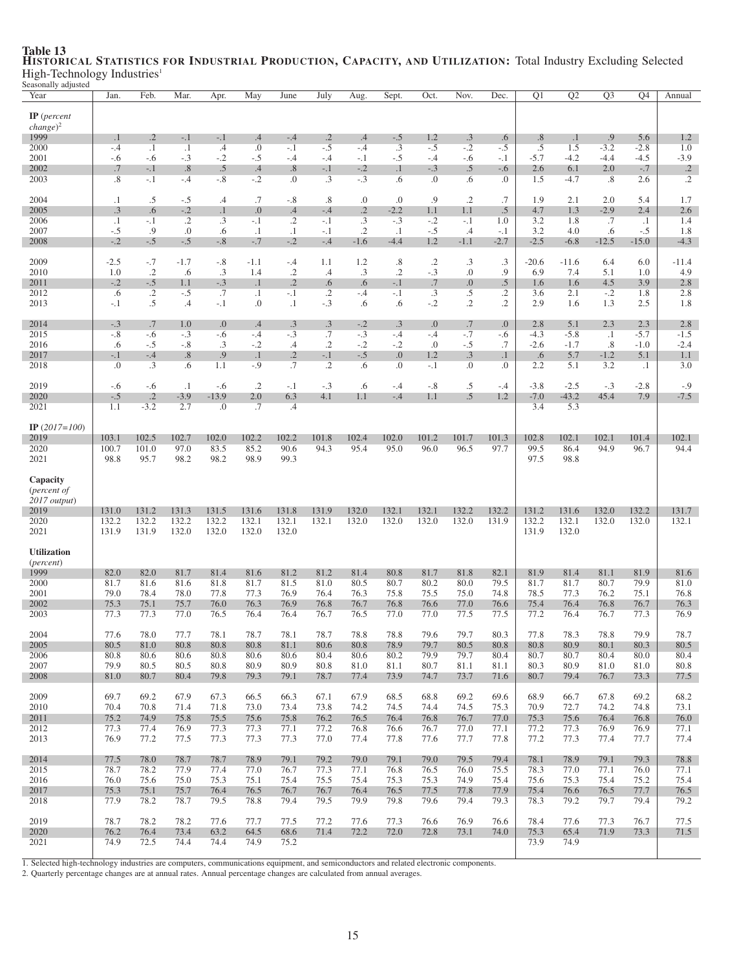| ocasonany aujusteu<br>Year                                        | Jan.            | Feb.                 | Mar.                | Apr.            | May                      | June                 | July                | Aug.                   | Sept.            | Oct.                | Nov.             | Dec.                  | $\overline{Q1}$ | $\overline{Q2}$ | $\overline{Q3}$  | $\overline{Q4}$  | Annual                         |
|-------------------------------------------------------------------|-----------------|----------------------|---------------------|-----------------|--------------------------|----------------------|---------------------|------------------------|------------------|---------------------|------------------|-----------------------|-----------------|-----------------|------------------|------------------|--------------------------------|
| $IP$ (percent<br>$change)^2$<br>1999                              | $\cdot$ 1       | $\cdot$ .2           | -.1                 | $-.1$           | .4                       | $-.4$                | $\cdot$ .2          | .4                     | $-.5$            | 1.2                 | $.3\phantom{0}$  | .6                    | .8              | $\cdot$ 1       | .9               | 5.6              | 1.2                            |
| 2000                                                              | $-.4$           | $\cdot$ 1            | $\cdot$ 1           | $.4\,$          | .0                       | $-.1$                | $-.5$               | $-.4$                  | $.3\phantom{0}$  | $-.5$               | $-.2$            | $-.5$                 | $.5\,$          | 1.5             | $-3.2$           | $-2.8$           | 1.0                            |
| 2001<br>2002                                                      | $-.6$<br>.7     | $-.6$<br>$-.1$       | $-.3$<br>.8         | $-.2$<br>.5     | $-.5$<br>$.4\phantom{0}$ | $-.4$<br>.8          | $-.4$<br>$-.1$      | $-.1$<br>$-.2$         | -.5<br>$\cdot$ 1 | $-.4$<br>$-.3$      | -.6<br>.5        | $-.1$<br>$-.6$        | $-5.7$<br>2.6   | $-4.2$<br>6.1   | $-4.4$<br>2.0    | $-4.5$<br>$-.7$  | $-3.9$<br>$\cdot$ <sup>2</sup> |
| 2003                                                              | .8              | $-.1$                | $-.4$               | $-.8$           | $-.2$                    | $\cdot$              | .3                  | $-.3$                  | .6               | $\Omega$            | .6               | $\cdot$               | 1.5             | $-4.7$          | $.8\,$           | 2.6              | $\cdot$ .2                     |
| 2004                                                              | $\cdot$ 1       | .5                   | $-.5$               | .4              | .7                       | $-.8$                | .8                  | .0                     | 0.               | .9                  | $\cdot$ .2       | .7                    | 1.9             | 2.1             | 2.0              | 5.4              | 1.7                            |
| 2005<br>2006                                                      | .3<br>$\cdot$ 1 | .6<br>$-.1$          | $-.2$<br>$\cdot$ .2 | $\cdot$ 1<br>.3 | 0.<br>$-.1$              | .4<br>$\cdot$ .2     | $-.4$<br>$-.1$      | $\cdot$ 2<br>$\cdot$ 3 | $-2.2$<br>$-.3$  | 1.1<br>$-.2$        | 1.1<br>$-.1$     | $.5\,$<br>1.0         | 4.7<br>3.2      | 1.3<br>1.8      | $-2.9$<br>.7     | 2.4<br>$\cdot$ 1 | 2.6<br>1.4                     |
| 2007                                                              | $-.5$           | .9                   | 0.                  | .6              | $\cdot$ 1                | $\cdot$ 1            | $-.1$               | $\cdot$ 2              | $\cdot$ 1        | $-.5$               | .4               | $-.1$                 | 3.2             | 4.0             | .6               | $-.5$            | 1.8                            |
| 2008                                                              | $-.2$           | $-.5$                | $-.5$               | $-.8$           | $-.7$                    | $-.2$                | $-.4$               | $-1.6$                 | $-4.4$           | 1.2                 | $-1.1$           | $-2.7$                | $-2.5$          | $-6.8$          | $-12.5$          | $-15.0$          | $-4.3$                         |
| 2009<br>2010                                                      | $-2.5$<br>1.0   | $-.7$<br>$\cdot$ .2  | $-1.7$<br>.6        | $-.8$<br>.3     | $-1.1$<br>1.4            | $-.4$<br>$\cdot$ .2  | 1.1<br>.4           | 1.2<br>$\cdot$ 3       | .8<br>$\cdot$ .2 | $\cdot$ .2<br>$-.3$ | .3<br>0.         | $.3\phantom{0}$<br>.9 | $-20.6$<br>6.9  | $-11.6$<br>7.4  | 6.4<br>5.1       | 6.0<br>1.0       | $-11.4$<br>4.9                 |
| 2011                                                              | $-.2$           | $-.5$                | 1.1                 | $-.3$           | $\cdot$ 1                | $\cdot$ .2           | .6                  | .6                     | $-.1$            | .7                  | $\overline{0}$ . | .5                    | 1.6             | 1.6             | 4.5              | 3.9              | 2.8                            |
| 2012<br>2013                                                      | .6<br>$-.1$     | $\cdot$ .2<br>.5     | $-.5$<br>$\cdot$    | .7<br>$-.1$     | $\cdot$<br>.0            | $-.1$<br>$\cdot$ 1   | .2<br>$-.3$         | $-.4$<br>.6            | $-.1$<br>.6      | $\cdot$ 3<br>$-.2$  | .5<br>$\cdot$    | .2<br>$\cdot$         | 3.6<br>2.9      | 2.1<br>1.6      | $-.2$<br>1.3     | 1.8<br>2.5       | 2.8<br>1.8                     |
| 2014                                                              | $-.3$           | .7                   | 1.0                 | 0.              | .4                       | .3                   | .3                  | $-.2$                  | .3               | 0.                  | .7               | 0.                    | 2.8             | 5.1             | 2.3              | 2.3              | 2.8                            |
| 2015                                                              | $-.8$           | $-.6$                | $-.3$               | $-.6$           | $-.4$                    | $-.3$                | .7                  | $-.3$                  | $-.4$            | $-.4$               | $-.7$            | $-.6$                 | $-4.3$          | $-5.8$          | $\cdot$ 1        | $-5.7$           | $-1.5$                         |
| 2016<br>2017                                                      | .6<br>$-.1$     | $-.5$<br>$-.4$       | $-.8$<br>.8         | .3<br>.9        | $-.2$<br>$\cdot$ 1       | $.4\,$<br>$\cdot$ .2 | $\cdot$ .2<br>$-.1$ | $-.2$<br>$-.5$         | $-.2$<br>0.      | .0<br>1.2           | $-.5$<br>.3      | .7<br>$\cdot$ 1       | $-2.6$<br>.6    | $-1.7$<br>5.7   | $.8\,$<br>$-1.2$ | $-1.0$<br>5.1    | $-2.4$<br>1.1                  |
| 2018                                                              | .0              | $\cdot$ 3            | .6                  | 1.1             | $-.9$                    | .7                   | $\cdot$ .2          | .6                     | 0.               | $-.1$               | 0.               | $\cdot$               | 2.2             | 5.1             | 3.2              | $\cdot$ 1        | 3.0                            |
| 2019                                                              | $-.6$           | $-.6$                | $\cdot$             | $-.6$           | $\cdot$ .2               | $-.1$                | $-.3$               | .6                     | $-.4$            | $-.8$               | .5               | $-.4$                 | $-3.8$          | $-2.5$          | $-.3$            | $-2.8$           | $-0.9$                         |
| 2020<br>2021                                                      | $-.5$<br>1.1    | $\cdot$ .2<br>$-3.2$ | $-3.9$<br>2.7       | $-13.9$<br>.0   | 2.0<br>.7                | 6.3<br>$\cdot$       | 4.1                 | 1.1                    | $-.4$            | 1.1                 | .5               | 1.2                   | $-7.0$<br>3.4   | $-43.2$<br>5.3  | 45.4             | 7.9              | $-7.5$                         |
| IP $(2017=100)$                                                   |                 |                      |                     |                 |                          |                      |                     |                        |                  |                     |                  |                       |                 |                 |                  |                  |                                |
| 2019                                                              | 103.1           | 102.5                | 102.7               | 102.0           | 102.2                    | 102.2                | 101.8               | 102.4                  | 102.0            | 101.2               | 101.7            | 101.3                 | 102.8           | 102.1           | 102.1            | 101.4            | 102.1                          |
| 2020<br>2021                                                      | 100.7<br>98.8   | 101.0<br>95.7        | 97.0<br>98.2        | 83.5<br>98.2    | 85.2<br>98.9             | 90.6<br>99.3         | 94.3                | 95.4                   | 95.0             | 96.0                | 96.5             | 97.7                  | 99.5<br>97.5    | 86.4<br>98.8    | 94.9             | 96.7             | 94.4                           |
| Capacity<br>( <i>percent of</i><br>$2017$ output)<br>2019<br>2020 | 131.0<br>132.2  | 131.2<br>132.2       | 131.3<br>132.2      | 131.5<br>132.2  | 131.6<br>132.1           | 131.8<br>132.1       | 131.9<br>132.1      | 132.0<br>132.0         | 132.1<br>132.0   | 132.1<br>132.0      | 132.2<br>132.0   | 132.2<br>131.9        | 131.2<br>132.2  | 131.6<br>132.1  | 132.0<br>132.0   | 132.2<br>132.0   | 131.7<br>132.1                 |
| 2021                                                              | 131.9           | 131.9                | 132.0               | 132.0           | 132.0                    | 132.0                |                     |                        |                  |                     |                  |                       | 131.9           | 132.0           |                  |                  |                                |
| <b>Utilization</b><br>( <i>percent</i> )                          |                 |                      |                     |                 |                          |                      |                     |                        |                  |                     |                  |                       |                 |                 |                  |                  |                                |
| 1999<br>2000                                                      | 82.0<br>81.7    | 82.0<br>81.6         | 81.7<br>81.6        | 81.4<br>81.8    | 81.6<br>81.7             | 81.2<br>81.5         | 81.2<br>81.0        | 81.4<br>80.5           | 80.8<br>80.7     | 81.7<br>80.2        | 81.8<br>80.0     | 82.1<br>79.5          | 81.9<br>81.7    | 81.4<br>81.7    | 81.1<br>80.7     | 81.9<br>79.9     | 81.6<br>81.0                   |
| 2001                                                              | 79.0            | 78.4                 | 78.0                | 77.8            | 77.3                     | 76.9                 | 76.4                | 76.3                   | 75.8             | 75.5                | 75.0             | 74.8                  | 78.5            | 77.3            | 76.2             | 75.1             | 76.8                           |
| 2002<br>2003                                                      | 75.3<br>77.3    | 75.1<br>77.3         | 75.7<br>77.0        | 76.0<br>76.5    | 76.3<br>76.4             | 76.9<br>76.4         | 76.8<br>76.7        | 76.7<br>76.5           | 76.8<br>77.0     | 76.6<br>77.0        | 77.0<br>77.5     | 76.6<br>77.5          | 75.4<br>77.2    | 76.4<br>76.4    | 76.8<br>76.7     | 76.7<br>77.3     | 76.3<br>76.9                   |
|                                                                   |                 |                      |                     |                 |                          |                      |                     |                        |                  |                     |                  |                       |                 |                 |                  |                  |                                |
| 2004<br>2005                                                      | 77.6<br>80.5    | $78.0\,$<br>81.0     | 77.7<br>80.8        | 78.1<br>80.8    | 78.7<br>80.8             | 78.1<br>81.1         | 78.7<br>80.6        | 78.8<br>80.8           | $78.8\,$<br>78.9 | 79.6<br>79.7        | 79.7<br>80.5     | 80.3<br>80.8          | 77.8<br>80.8    | 78.3<br>80.9    | 78.8<br>80.1     | 79.9<br>80.3     | 78.7<br>80.5                   |
| 2006                                                              | 80.8            | 80.6                 | 80.6                | 80.8            | 80.6                     | 80.6                 | 80.4                | 80.6                   | 80.2             | 79.9                | 79.7             | 80.4                  | 80.7            | 80.7            | 80.4             | 80.0             | 80.4                           |
| 2007<br>2008                                                      | 79.9<br>81.0    | 80.5<br>80.7         | 80.5<br>80.4        | 80.8<br>79.8    | 80.9<br>79.3             | 80.9<br>79.1         | 80.8<br>78.7        | 81.0<br>77.4           | 81.1<br>73.9     | 80.7<br>74.7        | 81.1<br>73.7     | 81.1<br>71.6          | 80.3<br>80.7    | 80.9<br>79.4    | 81.0<br>76.7     | 81.0<br>73.3     | 80.8<br>77.5                   |
|                                                                   | 69.7            | 69.2                 | 67.9                |                 |                          |                      | 67.1                |                        | 68.5             | 68.8                | 69.2             | 69.6                  | 68.9            |                 |                  | 69.2             | 68.2                           |
| 2009<br>2010                                                      | 70.4            | 70.8                 | 71.4                | 67.3<br>71.8    | 66.5<br>73.0             | 66.3<br>73.4         | 73.8                | 67.9<br>74.2           | 74.5             | 74.4                | 74.5             | 75.3                  | 70.9            | 66.7<br>72.7    | 67.8<br>74.2     | 74.8             | 73.1                           |
| 2011                                                              | 75.2            | 74.9                 | 75.8                | 75.5            | 75.6                     | 75.8                 | 76.2                | 76.5                   | 76.4             | 76.8                | 76.7             | 77.0                  | 75.3            | 75.6            | 76.4             | 76.8             | 76.0                           |
| 2012<br>2013                                                      | 77.3<br>76.9    | 77.4<br>77.2         | 76.9<br>77.5        | 77.3<br>77.3    | 77.3<br>77.3             | 77.1<br>77.3         | 77.2<br>77.0        | 76.8<br>77.4           | 76.6<br>77.8     | 76.7<br>77.6        | 77.0<br>77.7     | 77.1<br>77.8          | 77.2<br>77.2    | 77.3<br>77.3    | 76.9<br>77.4     | 76.9<br>77.7     | 77.1<br>77.4                   |
| 2014                                                              | 77.5            | 78.0                 | 78.7                | 78.7            | 78.9                     | 79.1                 | 79.2                | 79.0                   | 79.1             | 79.0                | 79.5             | 79.4                  | 78.1            | 78.9            | 79.1             | 79.3             | 78.8                           |
| 2015                                                              | 78.7            | 78.2                 | 77.9                | 77.4            | 77.0                     | 76.7                 | 77.3                | 77.1                   | 76.8             | 76.5                | 76.0             | 75.5                  | 78.3            | 77.0            | 77.1             | 76.0             | 77.1                           |
| 2016<br>2017                                                      | 76.0<br>75.3    | 75.6<br>75.1         | 75.0<br>75.7        | 75.3<br>76.4    | 75.1<br>76.5             | 75.4<br>76.7         | 75.5<br>76.7        | 75.4<br>76.4           | 75.3<br>76.5     | 75.3<br>77.5        | 74.9<br>77.8     | 75.4<br>77.9          | 75.6<br>75.4    | 75.3<br>76.6    | 75.4<br>76.5     | 75.2<br>77.7     | 75.4<br>76.5                   |
| 2018                                                              | 77.9            | 78.2                 | 78.7                | 79.5            | 78.8                     | 79.4                 | 79.5                | 79.9                   | 79.8             | 79.6                | 79.4             | 79.3                  | 78.3            | 79.2            | 79.7             | 79.4             | 79.2                           |
| 2019                                                              | 78.7            | 78.2                 | 78.2                | 77.6            | 77.7                     | 77.5                 | 77.2                | 77.6                   | 77.3             | 76.6                | 76.9             | 76.6                  | 78.4            | 77.6            | 77.3             | 76.7             | 77.5                           |
| 2020                                                              | 76.2            | 76.4                 | 73.4                | 63.2            | 64.5<br>74.9             | 68.6                 | 71.4                | 72.2                   | 72.0             | 72.8                | 73.1             | 74.0                  | 75.3<br>73.9    | 65.4            | 71.9             | 73.3             | 71.5                           |
| 2021                                                              | 74.9            | 72.5                 | 74.4                | 74.4            |                          | 75.2                 |                     |                        |                  |                     |                  |                       |                 | 74.9            |                  |                  |                                |

### Table 13 HISTORICAL STATISTICS FOR INDUSTRIAL PRODUCTION, CAPACITY, AND UTILIZATION: Total Industry Excluding Selected High-Technology Industries<sup>1</sup> Seasonally adjusted

1. Selected high-technology industries are computers, communications equipment, and semiconductors and related electronic components.<br>2. Quarterly percentage changes are at annual rates. Annual percentage changes are calcu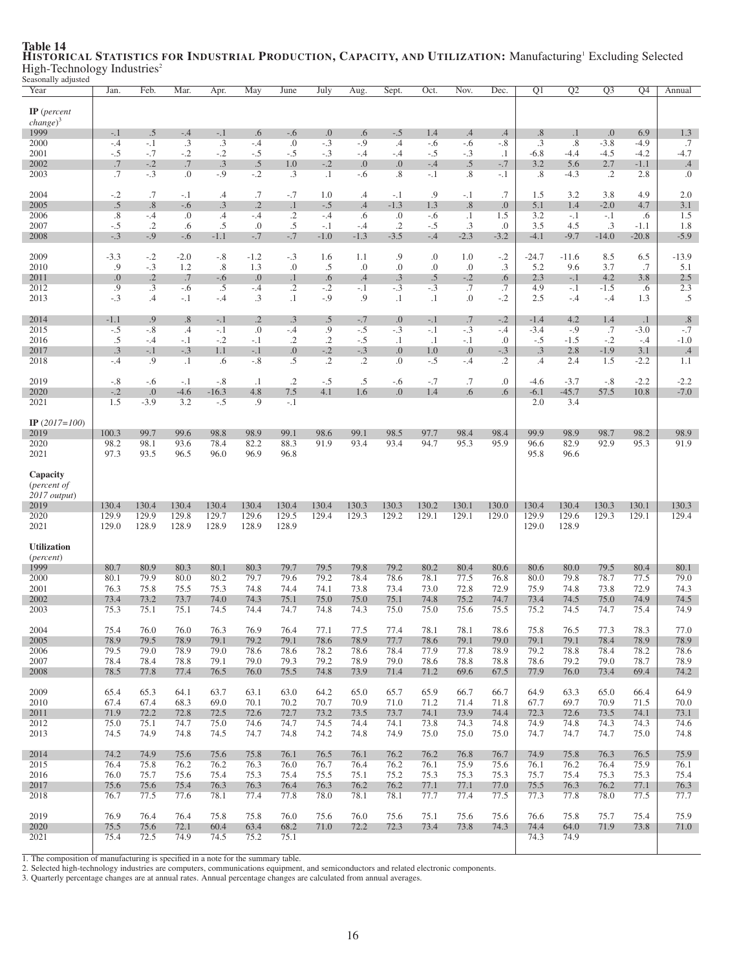| casonally aujusteu<br>Year               | Jan.           | Feb.                    | Mar.           | Apr.         | May              | June                  | July                | Aug.           | Sept.              | Oct.             | Nov.                         | Dec.             | $\overline{Q1}$           | $\overline{Q2}$ | $\overline{Q3}$  | Q4               | Annual                    |
|------------------------------------------|----------------|-------------------------|----------------|--------------|------------------|-----------------------|---------------------|----------------|--------------------|------------------|------------------------------|------------------|---------------------------|-----------------|------------------|------------------|---------------------------|
| $IP$ (percent                            |                |                         |                |              |                  |                       |                     |                |                    |                  |                              |                  |                           |                 |                  |                  |                           |
| $change)^3$                              |                |                         |                |              |                  |                       |                     |                |                    |                  |                              |                  |                           |                 |                  |                  |                           |
| 1999                                     | $-.1$          | .5                      | $-.4$          | $-.1$        | .6               | $-.6$                 | .0                  | .6             | $-.5$              | 1.4              | .4                           | $.4\phantom{0}$  | .8                        | $\cdot$ 1       | 0.               | 6.9              | 1.3                       |
| 2000<br>2001                             | $-.4$<br>$-.5$ | $-.1$<br>$-.7$          | .3<br>$-.2$    | .3<br>$-.2$  | $-.4$<br>$-.5$   | .0<br>$-.5$           | $-.3$<br>$-.3$      | $-.9$          | $.4\,$<br>$-.4$    | $-.6$<br>$-.5$   | $-.6$<br>$-.3$               | $-.8$<br>$\cdot$ | $.3\phantom{0}$<br>$-6.8$ | .8<br>-4.4      | $-3.8$<br>$-4.5$ | $-4.9$<br>$-4.2$ | .7<br>$-4.7$              |
| 2002                                     | .7             | $-.2$                   | $.7\,$         | .3           | $.5\,$           | 1.0                   | $-.2$               | -.4<br>0.0     | 0.                 | $-.4$            | .5                           | $-.7$            | 3.2                       | 5.6             | 2.7              | $-1.1$           | $.4\phantom{0}$           |
| 2003                                     | .7             | $-.3$                   | $\cdot$        | $-.9$        | $-.2$            | $\cdot$ 3             | $\cdot$ 1           | -.6            | .8                 | $-.1$            | .8                           | -.1              | .8                        | $-4.3$          | .2               | 2.8              | $\cdot$                   |
| 2004                                     | $-.2$          | .7                      | $-.1$          | $\cdot$ 4    | .7               | $-.7$                 | 1.0                 | .4             | $-.1$              | .9               | $-.1$                        | .7               | 1.5                       | 3.2             | 3.8              | 4.9              | 2.0                       |
| 2005                                     | .5             | .8                      | $-.6$          | .3           | $\cdot$ .2       | $\cdot$               | $-.5$               | .4             | $-1.3$             | 1.3              | .8                           | 0.               | 5.1                       | 1.4             | $-2.0$           | 4.7              | 3.1                       |
| 2006<br>2007                             | .8<br>$-.5$    | $-.4$<br>$\cdot$ .2     | 0.<br>.6       | .4<br>.5     | $-.4$<br>.0      | $\cdot$ .2<br>$.5\,$  | $-.4$<br>$-.1$      | .6<br>$-.4$    | 0.<br>$\cdot$ .2   | $-.6$<br>$-.5$   | $\cdot$ 1<br>$.3\phantom{0}$ | 1.5<br>$\cdot$   | 3.2<br>3.5                | $-.1$<br>4.5    | $-.1$<br>.3      | .6<br>$-1.1$     | 1.5<br>1.8                |
| 2008                                     | $-.3$          | $-.9$                   | $-.6$          | $-1.1$       | $-.7$            | $-.7$                 | $-1.0$              | $-1.3$         | $-3.5$             | $-.4$            | $-2.3$                       | $-3.2$           | $-4.1$                    | $-9.7$          | $-14.0$          | $-20.8$          | $-5.9$                    |
| 2009                                     | $-3.3$         | $-.2$                   | $-2.0$         | $-.8$        | $-1.2$           | $-.3$                 | 1.6                 | 1.1            | .9                 | .0               | 1.0                          | $-.2$            | $-24.7$                   | $-11.6$         | 8.5              | 6.5              | $-13.9$                   |
| 2010                                     | .9             | $-.3$                   | 1.2            | .8           | 1.3              | .0                    | .5                  | .0             | $\cdot$            | .0               | $\cdot$                      | .3               | 5.2                       | 9.6             | 3.7              | .7               | 5.1                       |
| 2011<br>2012                             | 0.<br>.9       | $\cdot$ .2<br>$\cdot$ 3 | .7<br>$-.6$    | $-.6$<br>.5  | 0.<br>$-.4$      | $\cdot$<br>$\cdot$ .2 | .6<br>$-.2$         | .4<br>$-.1$    | $\cdot$ 3<br>$-.3$ | .5<br>$-.3$      | $-.2$<br>.7                  | .6<br>.7         | 2.3<br>4.9                | $-.1$<br>$-.1$  | 4.2<br>$-1.5$    | 3.8<br>.6        | 2.5<br>2.3                |
| 2013                                     | $-.3$          | .4                      | $-.1$          | $-.4$        | $\cdot$ 3        | $\cdot$ 1             | $-.9$               | .9             | $\cdot$            | $\cdot$          | 0.                           | $-.2$            | 2.5                       | $-.4$           | $-.4$            | 1.3              | .5                        |
| 2014                                     | $-1.1$         | .9                      | .8             | $-.1$        | $\cdot$ .2       | .3                    | .5                  | $-.7$          | 0.                 | $-.1$            | .7                           | $-.2$            | $-1.4$                    | 4.2             | 1.4              | $\cdot$ 1        | .8                        |
| 2015<br>2016                             | $-.5$          | $-.8$                   | $\cdot$        | $-.1$        | $\cdot$<br>$-.1$ | $-.4$                 | .9                  | $-.5$          | $-.3$              | $-.1$            | $-.3$                        | -.4              | $-3.4$                    | $-.9$<br>$-1.5$ | .7               | $-3.0$           | $-.7$                     |
| 2017                                     | .5<br>.3       | $-.4$<br>$-.1$          | $-.1$<br>$-.3$ | $-.2$<br>1.1 | $-.1$            | $\cdot$ .2<br>0.      | $\cdot$ .2<br>$-.2$ | $-.5$<br>$-.3$ | $\cdot$ 1<br>0.    | $\cdot$ 1<br>1.0 | $-.1$<br>0.0                 | 0.<br>$-.3$      | $-.5$<br>$\cdot$ 3        | 2.8             | $-.2$<br>$-1.9$  | $-.4$<br>3.1     | $-1.0$<br>$.4\phantom{0}$ |
| 2018                                     | $-.4$          | .9                      | $\cdot$ 1      | .6           | $-.8$            | .5                    | $\overline{.2}$     | $\cdot$ .2     | .0                 | $-.5$            | $-.4$                        | $\cdot$ .2       | $\cdot$                   | 2.4             | 1.5              | $-2.2$           | 1.1                       |
| 2019                                     | $-.8$          | $-.6$                   | $-.1$          | $-.8$        | $\cdot$ 1        | $\cdot$ .2            | $-.5$               | .5             | $-.6$              | $-.7$            | .7                           | $\cdot$          | $-4.6$                    | $-3.7$          | $-.8$            | $-2.2$           | $-2.2$                    |
| 2020                                     | $-.2$          | 0.                      | $-4.6$         | $-16.3$      | 4.8              | 7.5                   | 4.1                 | 1.6            | $\Omega$ .         | 1.4              | .6                           | .6               | $-6.1$                    | $-45.7$         | 57.5             | 10.8             | $-7.0$                    |
| 2021                                     | 1.5            | $-3.9$                  | 3.2            | $-.5$        | .9               | $-.1$                 |                     |                |                    |                  |                              |                  | 2.0                       | 3.4             |                  |                  |                           |
| IP $(2017=100)$                          |                |                         |                |              |                  |                       |                     |                |                    |                  |                              |                  |                           |                 |                  |                  |                           |
| 2019<br>2020                             | 100.3<br>98.2  | 99.7<br>98.1            | 99.6<br>93.6   | 98.8<br>78.4 | 98.9<br>82.2     | 99.1<br>88.3          | 98.6<br>91.9        | 99.1<br>93.4   | 98.5<br>93.4       | 97.7<br>94.7     | 98.4<br>95.3                 | 98.4<br>95.9     | 99.9<br>96.6              | 98.9<br>82.9    | 98.7<br>92.9     | 98.2<br>95.3     | 98.9<br>91.9              |
| 2021                                     | 97.3           | 93.5                    | 96.5           | 96.0         | 96.9             | 96.8                  |                     |                |                    |                  |                              |                  | 95.8                      | 96.6            |                  |                  |                           |
| Capacity<br>( <i>percent of</i>          |                |                         |                |              |                  |                       |                     |                |                    |                  |                              |                  |                           |                 |                  |                  |                           |
| $2017$ output)<br>2019                   | 130.4          | 130.4                   | 130.4          | 130.4        | 130.4            | 130.4                 | 130.4               | 130.3          | 130.3              | 130.2            | 130.1                        | 130.0            | 130.4                     | 130.4           | 130.3            | 130.1            | 130.3                     |
| 2020                                     | 129.9          | 129.9                   | 129.8          | 129.7        | 129.6            | 129.5                 | 129.4               | 129.3          | 129.2              | 129.1            | 129.1                        | 129.0            | 129.9                     | 129.6           | 129.3            | 129.1            | 129.4                     |
| 2021                                     | 129.0          | 128.9                   | 128.9          | 128.9        | 128.9            | 128.9                 |                     |                |                    |                  |                              |                  | 129.0                     | 128.9           |                  |                  |                           |
| <b>Utilization</b><br>( <i>percent</i> ) |                |                         |                |              |                  |                       |                     |                |                    |                  |                              |                  |                           |                 |                  |                  |                           |
| 1999                                     | 80.7           | 80.9                    | 80.3           | 80.1         | 80.3             | 79.7                  | 79.5                | 79.8           | 79.2               | 80.2             | 80.4                         | 80.6             | 80.6                      | 80.0            | 79.5             | 80.4             | 80.1                      |
| 2000                                     | 80.1           | 79.9                    | 80.0           | 80.2         | 79.7             | 79.6                  | 79.2                | 78.4           | 78.6               | 78.1             | 77.5                         | 76.8             | 80.0                      | 79.8            | 78.7             | 77.5             | 79.0                      |
| 2001<br>2002                             | 76.3<br>73.4   | 75.8<br>73.2            | 75.5<br>73.7   | 75.3<br>74.0 | 74.8<br>74.3     | 74.4<br>75.1          | 74.1<br>75.0        | 73.8<br>75.0   | 73.4<br>75.1       | 73.0<br>74.8     | 72.8<br>75.2                 | 72.9<br>74.7     | 75.9<br>73.4              | 74.8<br>74.5    | 73.8<br>75.0     | 72.9<br>74.9     | 74.3<br>74.5              |
| 2003                                     | 75.3           | 75.1                    | 75.1           | 74.5         | 74.4             | 74.7                  | 74.8                |                |                    |                  |                              |                  |                           |                 |                  | 75.4             | 74.9                      |
| 2004                                     |                |                         |                |              |                  |                       |                     | 74.3           | 75.0               | 75.0             | 75.6                         | 75.5             | 75.2                      | 74.5            | 74.7             |                  |                           |
| 2005                                     | 75.4           | 76.0                    | 76.0           | 76.3         | 76.9             | 76.4                  | 77.1                | 77.5           | 77.4               | 78.1             | 78.1                         | 78.6             | 75.8                      | 76.5            | 77.3             | 78.3             | $77.0\,$                  |
|                                          | 78.9           | 79.5                    | 78.9           | 79.1         | 79.2             | 79.1                  | 78.6                | 78.9           | 77.7               | 78.6             | 79.1                         | 79.0             | 79.1                      | 79.1            | 78.4             | 78.9             | 78.9                      |
| 2006<br>2007                             | 79.5<br>78.4   | 79.0<br>78.4            | 78.9<br>78.8   | 79.0<br>79.1 | 78.6<br>79.0     | 78.6<br>79.3          | 78.2<br>79.2        | 78.6<br>78.9   | 78.4<br>79.0       | 77.9<br>78.6     | 77.8<br>78.8                 | 78.9<br>78.8     | 79.2<br>78.6              | 78.8<br>79.2    | 78.4<br>79.0     | 78.2<br>78.7     | 78.6<br>78.9              |
| 2008                                     | 78.5           | 77.8                    | 77.4           | 76.5         | 76.0             | 75.5                  | 74.8                | 73.9           | 71.4               | 71.2             | 69.6                         | 67.5             | 77.9                      | 76.0            | 73.4             | 69.4             | 74.2                      |
| 2009                                     | 65.4           | 65.3                    | 64.1           | 63.7         | 63.1             | 63.0                  | 64.2                | 65.0           | 65.7               | 65.9             | 66.7                         | 66.7             | 64.9                      | 63.3            | 65.0             | 66.4             | 64.9                      |
| 2010                                     | 67.4           | 67.4                    | 68.3           | 69.0         | 70.1             | 70.2                  | 70.7                | 70.9           | 71.0               | 71.2             | 71.4                         | 71.8             | 67.7                      | 69.7            | 70.9             | 71.5             | 70.0                      |
| 2011<br>2012                             | 71.9<br>75.0   | 72.2<br>75.1            | 72.8<br>74.7   | 72.5<br>75.0 | 72.6<br>74.6     | 72.7<br>74.7          | 73.2<br>74.5        | 73.5<br>74.4   | 73.7<br>74.1       | 74.1<br>73.8     | 73.9<br>74.3                 | 74.4<br>74.8     | 72.3<br>74.9              | 72.6<br>74.8    | 73.5<br>74.3     | 74.1<br>74.3     | 73.1<br>74.6              |
| 2013                                     | 74.5           | 74.9                    | 74.8           | 74.5         | 74.7             | 74.8                  | 74.2                | 74.8           | 74.9               | 75.0             | 75.0                         | 75.0             | 74.7                      | 74.7            | 74.7             | 75.0             | 74.8                      |
| 2014                                     | 74.2           | 74.9                    | 75.6           | 75.6         | 75.8             | 76.1                  | 76.5                | 76.1           | 76.2               | 76.2             | 76.8                         | 76.7             | 74.9                      | 75.8            | 76.3             | 76.5             | 75.9                      |
| 2015                                     | 76.4           | 75.8                    | 76.2           | 76.2         | 76.3             | 76.0                  | 76.7                | 76.4           | 76.2               | 76.1             | 75.9                         | 75.6             | 76.1                      | 76.2            | 76.4             | 75.9             | 76.1                      |
| 2016<br>2017                             | 76.0<br>75.6   | 75.7<br>75.6            | 75.6<br>75.4   | 75.4<br>76.3 | 75.3<br>76.3     | 75.4<br>76.4          | 75.5<br>76.3        | 75.1<br>76.2   | 75.2<br>76.2       | 75.3<br>77.1     | 75.3                         | 75.3<br>77.0     | 75.7<br>75.5              | 75.4<br>76.3    | 75.3<br>76.2     | 75.3             | 75.4                      |
| 2018                                     | 76.7           | 77.5                    | 77.6           | 78.1         | 77.4             | 77.8                  | 78.0                | 78.1           | 78.1               | 77.7             | 77.1<br>77.4                 | 77.5             | 77.3                      | 77.8            | 78.0             | 77.1<br>77.5     | 76.3<br>77.7              |
| 2019                                     | 76.9           | 76.4                    | 76.4           | 75.8         | 75.8             | 76.0                  | 75.6                | 76.0           | 75.6               | 75.1             | 75.6                         | 75.6             | 76.6                      | 75.8            | 75.7             | 75.4             | 75.9                      |
| 2020<br>2021                             | 75.5<br>75.4   | 75.6<br>72.5            | 72.1<br>74.9   | 60.4<br>74.5 | 63.4<br>75.2     | 68.2<br>75.1          | 71.0                | 72.2           | 72.3               | 73.4             | 73.8                         | 74.3             | 74.4<br>74.3              | 64.0<br>74.9    | 71.9             | 73.8             | 71.0                      |

### Table 14<br>HISTORICAL STATISTICS FOR INDUSTRIAL PRODUCTION, CAPACITY, AND UTILIZATION: Manufacturing' Excluding Selected High-Technology Industries<sup>2</sup> Seasonally adjusted

1. The composition of manufacturing is specified in a note for the summary table. 2. Selected high-technology industries are computers, communications equipment, and semiconductors and related electronic components.

3. Quarterly percentage changes are at annual rates. Annual percentage changes are calculated from annual averages.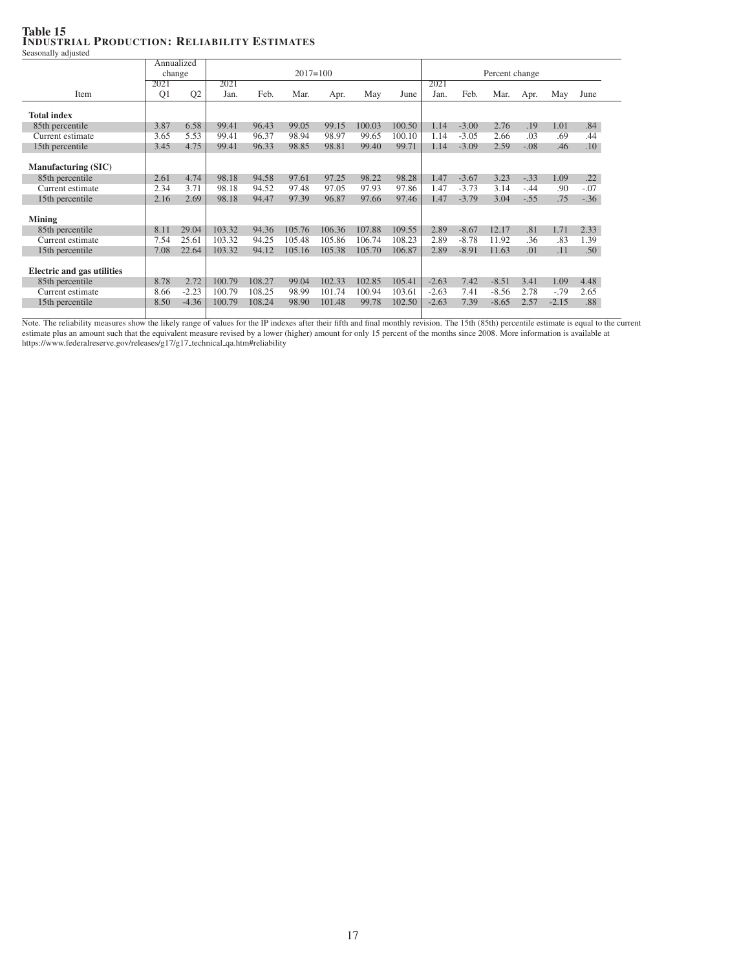### Table 15 INDUSTRIAL PRODUCTION: RELIABILITY ESTIMATES Seasonally adjusted

|                                   |                | Annualized     |              |        |        |        |        |        |         |                |         |        |         |        |  |  |
|-----------------------------------|----------------|----------------|--------------|--------|--------|--------|--------|--------|---------|----------------|---------|--------|---------|--------|--|--|
|                                   |                | change         | $2017 = 100$ |        |        |        |        |        |         | Percent change |         |        |         |        |  |  |
|                                   | 2021           |                | 2021         |        |        |        |        |        | 2021    |                |         |        |         |        |  |  |
| Item                              | Q <sub>1</sub> | Q <sub>2</sub> | Jan.         | Feb.   | Mar.   | Apr.   | May    | June   | Jan.    | Feb.           | Mar.    | Apr.   | May     | June   |  |  |
| <b>Total index</b>                |                |                |              |        |        |        |        |        |         |                |         |        |         |        |  |  |
| 85th percentile                   | 3.87           | 6.58           | 99.41        | 96.43  | 99.05  | 99.15  | 100.03 | 100.50 | 1.14    | $-3.00$        | 2.76    | .19    | 1.01    | .84    |  |  |
| Current estimate                  | 3.65           | 5.53           | 99.41        | 96.37  | 98.94  | 98.97  | 99.65  | 100.10 | 1.14    | $-3.05$        | 2.66    | .03    | .69     | .44    |  |  |
| 15th percentile                   | 3.45           | 4.75           | 99.41        | 96.33  | 98.85  | 98.81  | 99.40  | 99.71  | 1.14    | $-3.09$        | 2.59    | $-.08$ | .46     | .10    |  |  |
| <b>Manufacturing (SIC)</b>        |                |                |              |        |        |        |        |        |         |                |         |        |         |        |  |  |
| 85th percentile                   | 2.61           | 4.74           | 98.18        | 94.58  | 97.61  | 97.25  | 98.22  | 98.28  | 1.47    | $-3.67$        | 3.23    | $-.33$ | 1.09    | .22    |  |  |
| Current estimate                  | 2.34           | 3.71           | 98.18        | 94.52  | 97.48  | 97.05  | 97.93  | 97.86  | 1.47    | $-3.73$        | 3.14    | $-.44$ | .90     | $-.07$ |  |  |
| 15th percentile                   | 2.16           | 2.69           | 98.18        | 94.47  | 97.39  | 96.87  | 97.66  | 97.46  | 1.47    | $-3.79$        | 3.04    | $-.55$ | .75     | $-.36$ |  |  |
| <b>Mining</b>                     |                |                |              |        |        |        |        |        |         |                |         |        |         |        |  |  |
| 85th percentile                   | 8.11           | 29.04          | 103.32       | 94.36  | 105.76 | 106.36 | 107.88 | 109.55 | 2.89    | $-8.67$        | 12.17   | .81    | 1.71    | 2.33   |  |  |
| Current estimate                  | 7.54           | 25.61          | 103.32       | 94.25  | 105.48 | 105.86 | 106.74 | 108.23 | 2.89    | $-8.78$        | 11.92   | .36    | .83     | 1.39   |  |  |
| 15th percentile                   | 7.08           | 22.64          | 103.32       | 94.12  | 105.16 | 105.38 | 105.70 | 106.87 | 2.89    | $-8.91$        | 11.63   | .01    | .11     | .50    |  |  |
| <b>Electric and gas utilities</b> |                |                |              |        |        |        |        |        |         |                |         |        |         |        |  |  |
| 85th percentile                   | 8.78           | 2.72           | 100.79       | 108.27 | 99.04  | 102.33 | 102.85 | 105.41 | $-2.63$ | 7.42           | $-8.51$ | 3.41   | 1.09    | 4.48   |  |  |
| Current estimate                  | 8.66           | $-2.23$        | 100.79       | 108.25 | 98.99  | 101.74 | 100.94 | 103.61 | $-2.63$ | 7.41           | $-8.56$ | 2.78   | $-.79$  | 2.65   |  |  |
| 15th percentile                   | 8.50           | $-4.36$        | 100.79       | 108.24 | 98.90  | 101.48 | 99.78  | 102.50 | $-2.63$ | 7.39           | $-8.65$ | 2.57   | $-2.15$ | .88    |  |  |
|                                   |                |                |              |        |        |        |        |        |         |                |         |        |         |        |  |  |

Note. The reliability measures show the likely range of values for the IP indexes after their fifth and final monthly revision. The 15th (85th) percentile estimate is equal to the current estimate is equal to the current e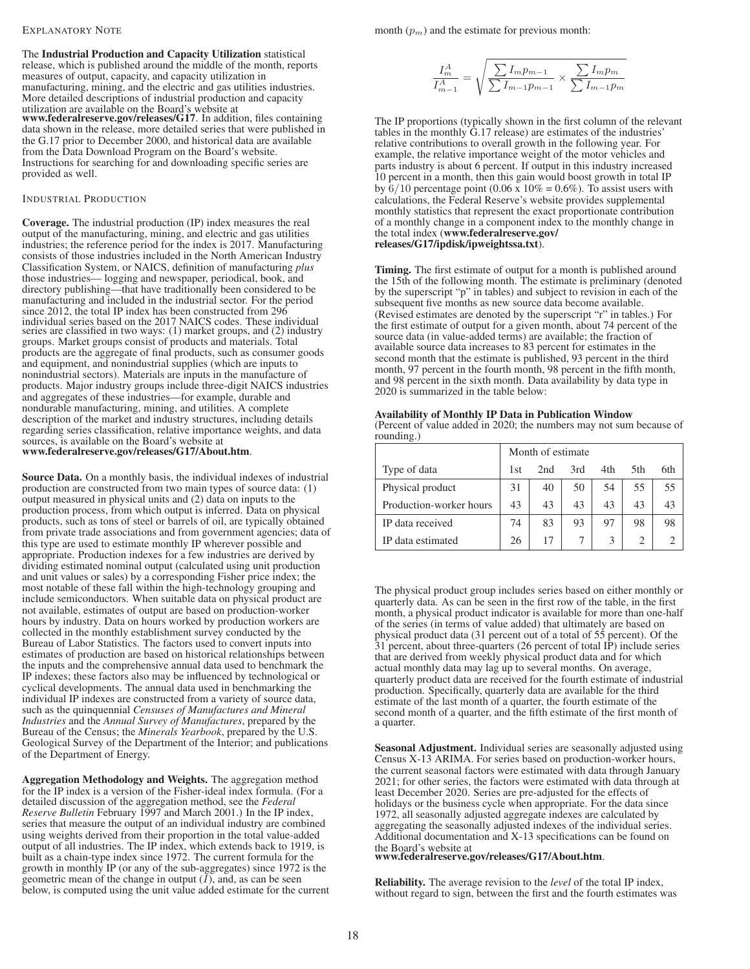#### EXPLANATORY NOTE

The Industrial Production and Capacity Utilization statistical release, which is published around the middle of the month, reports measures of output, capacity, and capacity utilization in manufacturing, mining, and the electric and gas utilities industries. More detailed descriptions of industrial production and capacity utilization are available on the Board's website at www.federalreserve.gov/releases/G17. In addition, files containing data shown in the release, more detailed series that were published in the G.17 prior to December 2000, and historical data are available from the Data Download Program on the Board's website. Instructions for searching for and downloading specific series are provided as well.

### INDUSTRIAL PRODUCTION

Coverage. The industrial production (IP) index measures the real output of the manufacturing, mining, and electric and gas utilities industries; the reference period for the index is 2017. Manufacturing consists of those industries included in the North American Industry Classification System, or NAICS, definition of manufacturing *plus* those industries— logging and newspaper, periodical, book, and directory publishing—that have traditionally been considered to be manufacturing and included in the industrial sector. For the period since 2012, the total IP index has been constructed from 296 individual series based on the 2017 NAICS codes. These individual series are classified in two ways: (1) market groups, and (2) industry groups. Market groups consist of products and materials. Total products are the aggregate of final products, such as consumer goods and equipment, and nonindustrial supplies (which are inputs to nonindustrial sectors). Materials are inputs in the manufacture of products. Major industry groups include three-digit NAICS industries and aggregates of these industries—for example, durable and nondurable manufacturing, mining, and utilities. A complete description of the market and industry structures, including details regarding series classification, relative importance weights, and data sources, is available on the Board's website at www.federalreserve.gov/releases/G17/About.htm.

Source Data. On a monthly basis, the individual indexes of industrial production are constructed from two main types of source data: (1) output measured in physical units and (2) data on inputs to the production process, from which output is inferred. Data on physical products, such as tons of steel or barrels of oil, are typically obtained from private trade associations and from government agencies; data of this type are used to estimate monthly IP wherever possible and appropriate. Production indexes for a few industries are derived by dividing estimated nominal output (calculated using unit production and unit values or sales) by a corresponding Fisher price index; the most notable of these fall within the high-technology grouping and include semiconductors. When suitable data on physical product are not available, estimates of output are based on production-worker hours by industry. Data on hours worked by production workers are collected in the monthly establishment survey conducted by the Bureau of Labor Statistics. The factors used to convert inputs into estimates of production are based on historical relationships between the inputs and the comprehensive annual data used to benchmark the IP indexes; these factors also may be influenced by technological or cyclical developments. The annual data used in benchmarking the individual IP indexes are constructed from a variety of source data, such as the quinquennial *Censuses of Manufactures and Mineral Industries* and the *Annual Survey of Manufactures*, prepared by the Bureau of the Census; the *Minerals Yearbook*, prepared by the U.S. Geological Survey of the Department of the Interior; and publications of the Department of Energy.

Aggregation Methodology and Weights. The aggregation method for the IP index is a version of the Fisher-ideal index formula. (For a detailed discussion of the aggregation method, see the *Federal Reserve Bulletin* February 1997 and March 2001.) In the IP index, series that measure the output of an individual industry are combined using weights derived from their proportion in the total value-added output of all industries. The IP index, which extends back to 1919, is built as a chain-type index since 1972. The current formula for the growth in monthly IP (or any of the sub-aggregates) since 1972 is the geometric mean of the change in output  $(I)$ , and, as can be seen below, is computed using the unit value added estimate for the current month  $(p_m)$  and the estimate for previous month:

$$
\frac{I_m^A}{I_{m-1}^A} = \sqrt{\frac{\sum I_m p_{m-1}}{\sum I_{m-1} p_{m-1}}} \times \frac{\sum I_m p_m}{\sum I_{m-1} p_m}
$$

The IP proportions (typically shown in the first column of the relevant tables in the monthly G.17 release) are estimates of the industries' relative contributions to overall growth in the following year. For example, the relative importance weight of the motor vehicles and parts industry is about 6 percent. If output in this industry increased 10 percent in a month, then this gain would boost growth in total IP by  $6/10$  percentage point (0.06 x  $10\% = 0.6\%$ ). To assist users with calculations, the Federal Reserve's website provides supplemental monthly statistics that represent the exact proportionate contribution of a monthly change in a component index to the monthly change in the total index (www.federalreserve.gov/ releases/G17/ipdisk/ipweightssa.txt).

Timing. The first estimate of output for a month is published around the 15th of the following month. The estimate is preliminary (denoted by the superscript "p" in tables) and subject to revision in each of the subsequent five months as new source data become available. (Revised estimates are denoted by the superscript "r" in tables.) For the first estimate of output for a given month, about 74 percent of the source data (in value-added terms) are available; the fraction of available source data increases to 83 percent for estimates in the second month that the estimate is published, 93 percent in the third month, 97 percent in the fourth month, 98 percent in the fifth month, and 98 percent in the sixth month. Data availability by data type in 2020 is summarized in the table below:

Availability of Monthly IP Data in Publication Window (Percent of value added in 2020; the numbers may not sum because of rounding.)

|                         |     | Month of estimate |     |     |      |     |
|-------------------------|-----|-------------------|-----|-----|------|-----|
| Type of data            | 1st | 2nd               | 3rd | 4th | .5th | 6th |
| Physical product        | 31  | 40                | 50  | 54  | 55   | 55  |
| Production-worker hours | 43  | 43                | 43  | 43  | 43   | 43  |
| IP data received        | 74  | 83                | 93  | 97  | 98   | 98  |
| IP data estimated       | 26  | 17                |     |     |      |     |

The physical product group includes series based on either monthly or quarterly data. As can be seen in the first row of the table, in the first month, a physical product indicator is available for more than one-half of the series (in terms of value added) that ultimately are based on physical product data (31 percent out of a total of 55 percent). Of the 31 percent, about three-quarters (26 percent of total IP) include series that are derived from weekly physical product data and for which actual monthly data may lag up to several months. On average, quarterly product data are received for the fourth estimate of industrial production. Specifically, quarterly data are available for the third estimate of the last month of a quarter, the fourth estimate of the second month of a quarter, and the fifth estimate of the first month of a quarter.

Seasonal Adjustment. Individual series are seasonally adjusted using Census X-13 ARIMA. For series based on production-worker hours, the current seasonal factors were estimated with data through January 2021; for other series, the factors were estimated with data through at least December 2020. Series are pre-adjusted for the effects of holidays or the business cycle when appropriate. For the data since 1972, all seasonally adjusted aggregate indexes are calculated by aggregating the seasonally adjusted indexes of the individual series. Additional documentation and X-13 specifications can be found on the Board's website at www.federalreserve.gov/releases/G17/About.htm.

Reliability. The average revision to the *level* of the total IP index, without regard to sign, between the first and the fourth estimates was